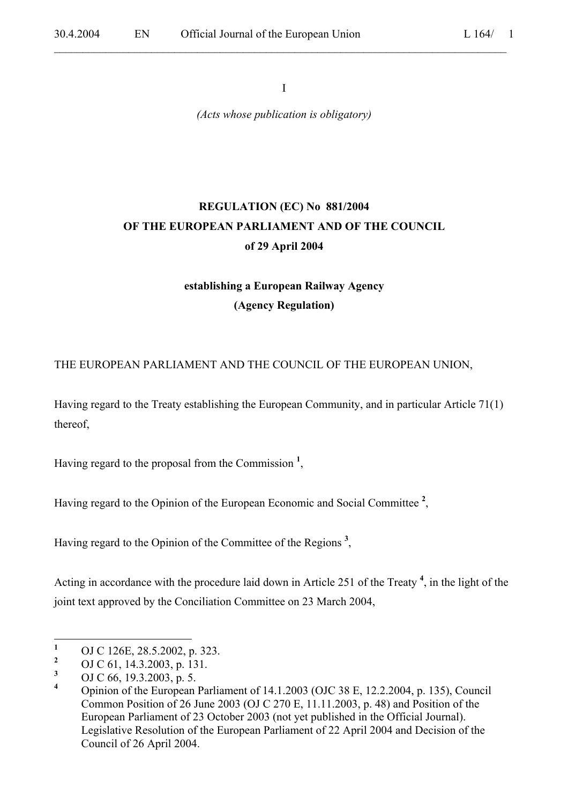I

 $\mathcal{L}_\mathcal{L} = \mathcal{L}_\mathcal{L} = \mathcal{L}_\mathcal{L} = \mathcal{L}_\mathcal{L} = \mathcal{L}_\mathcal{L} = \mathcal{L}_\mathcal{L} = \mathcal{L}_\mathcal{L} = \mathcal{L}_\mathcal{L} = \mathcal{L}_\mathcal{L} = \mathcal{L}_\mathcal{L} = \mathcal{L}_\mathcal{L} = \mathcal{L}_\mathcal{L} = \mathcal{L}_\mathcal{L} = \mathcal{L}_\mathcal{L} = \mathcal{L}_\mathcal{L} = \mathcal{L}_\mathcal{L} = \mathcal{L}_\mathcal{L}$ 

*(Acts whose publication is obligatory)*

# **REGULATION (EC) No 881/2004 OF THE EUROPEAN PARLIAMENT AND OF THE COUNCIL of 29 April 2004**

# **establishing a European Railway Agency (Agency Regulation)**

THE EUROPEAN PARLIAMENT AND THE COUNCIL OF THE EUROPEAN UNION,

Having regard to the Treaty establishing the European Community, and in particular Article 71(1) thereof,

Having regard to the proposal from the Commission **<sup>1</sup>** ,

Having regard to the Opinion of the European Economic and Social Committee **<sup>2</sup>** ,

Having regard to the Opinion of the Committee of the Regions **<sup>3</sup>** ,

Acting in accordance with the procedure laid down in Article 251 of the Treaty **<sup>4</sup>** , in the light of the joint text approved by the Conciliation Committee on 23 March 2004,

 **1** OJ C 126E, 28.5.2002, p. 323.

**<sup>2</sup>** OJ C 61, 14.3.2003, p. 131.

**<sup>3</sup>** OJ C 66, 19.3.2003, p. 5.

**<sup>4</sup>** Opinion of the European Parliament of 14.1.2003 (OJC 38 E, 12.2.2004, p. 135), Council Common Position of 26 June 2003 (OJ C 270 E, 11.11.2003, p. 48) and Position of the European Parliament of 23 October 2003 (not yet published in the Official Journal). Legislative Resolution of the European Parliament of 22 April 2004 and Decision of the Council of 26 April 2004.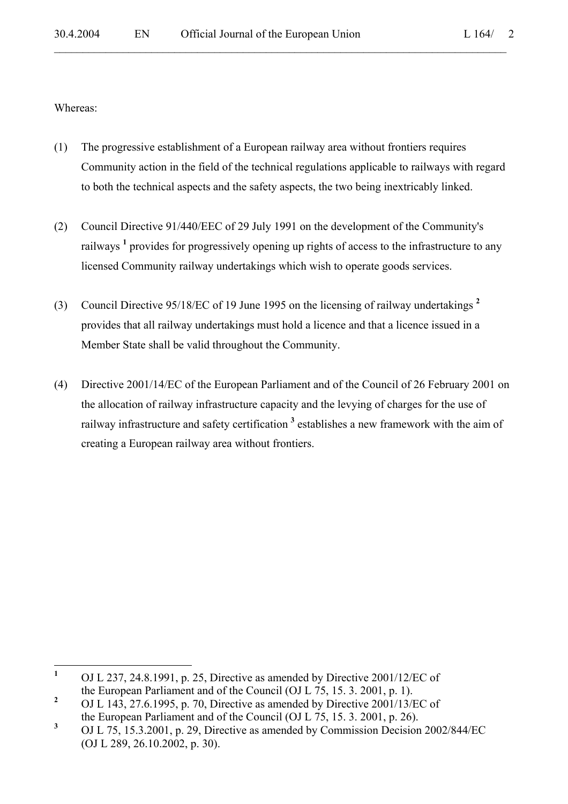Whereas:

(1) The progressive establishment of a European railway area without frontiers requires Community action in the field of the technical regulations applicable to railways with regard to both the technical aspects and the safety aspects, the two being inextricably linked.

- (2) Council Directive 91/440/EEC of 29 July 1991 on the development of the Community's railways <sup>1</sup> provides for progressively opening up rights of access to the infrastructure to any licensed Community railway undertakings which wish to operate goods services.
- (3) Council Directive 95/18/EC of 19 June 1995 on the licensing of railway undertakings **<sup>2</sup>** provides that all railway undertakings must hold a licence and that a licence issued in a Member State shall be valid throughout the Community.
- (4) Directive 2001/14/EC of the European Parliament and of the Council of 26 February 2001 on the allocation of railway infrastructure capacity and the levying of charges for the use of railway infrastructure and safety certification<sup>3</sup> establishes a new framework with the aim of creating a European railway area without frontiers.

 **1** OJ L 237, 24.8.1991, p. 25, Directive as amended by Directive 2001/12/EC of the European Parliament and of the Council (OJ L 75, 15. 3. 2001, p. 1).

**<sup>2</sup>** OJ L 143, 27.6.1995, p. 70, Directive as amended by Directive 2001/13/EC of the European Parliament and of the Council (OJ L 75, 15. 3. 2001, p. 26).

**<sup>3</sup>** OJ L 75, 15.3.2001, p. 29, Directive as amended by Commission Decision 2002/844/EC (OJ L 289, 26.10.2002, p. 30).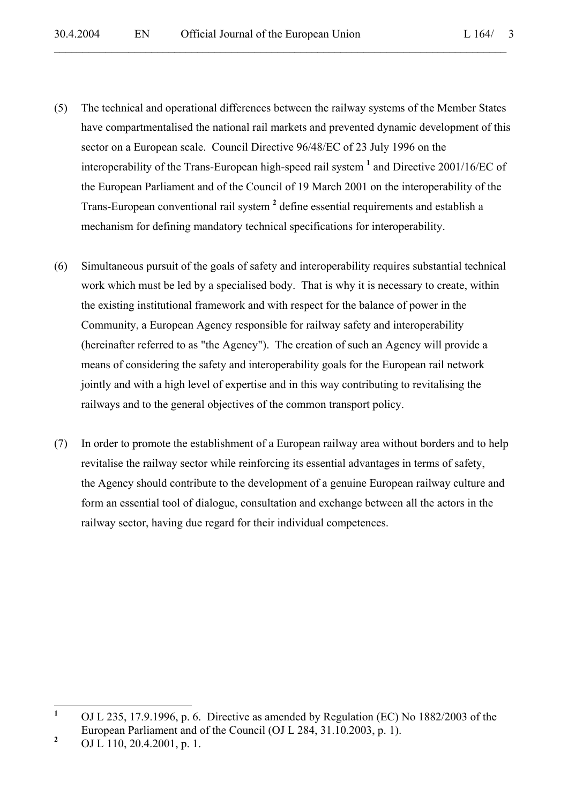- (5) The technical and operational differences between the railway systems of the Member States have compartmentalised the national rail markets and prevented dynamic development of this sector on a European scale. Council Directive 96/48/EC of 23 July 1996 on the interoperability of the Trans-European high-speed rail system **<sup>1</sup>** and Directive 2001/16/EC of the European Parliament and of the Council of 19 March 2001 on the interoperability of the Trans-European conventional rail system **<sup>2</sup>** define essential requirements and establish a mechanism for defining mandatory technical specifications for interoperability.
- (6) Simultaneous pursuit of the goals of safety and interoperability requires substantial technical work which must be led by a specialised body. That is why it is necessary to create, within the existing institutional framework and with respect for the balance of power in the Community, a European Agency responsible for railway safety and interoperability (hereinafter referred to as "the Agency"). The creation of such an Agency will provide a means of considering the safety and interoperability goals for the European rail network jointly and with a high level of expertise and in this way contributing to revitalising the railways and to the general objectives of the common transport policy.
- (7) In order to promote the establishment of a European railway area without borders and to help revitalise the railway sector while reinforcing its essential advantages in terms of safety, the Agency should contribute to the development of a genuine European railway culture and form an essential tool of dialogue, consultation and exchange between all the actors in the railway sector, having due regard for their individual competences.

 **1** OJ L 235, 17.9.1996, p. 6. Directive as amended by Regulation (EC) No 1882/2003 of the European Parliament and of the Council (OJ L 284, 31.10.2003, p. 1).

**<sup>2</sup>** OJ L 110, 20.4.2001, p. 1.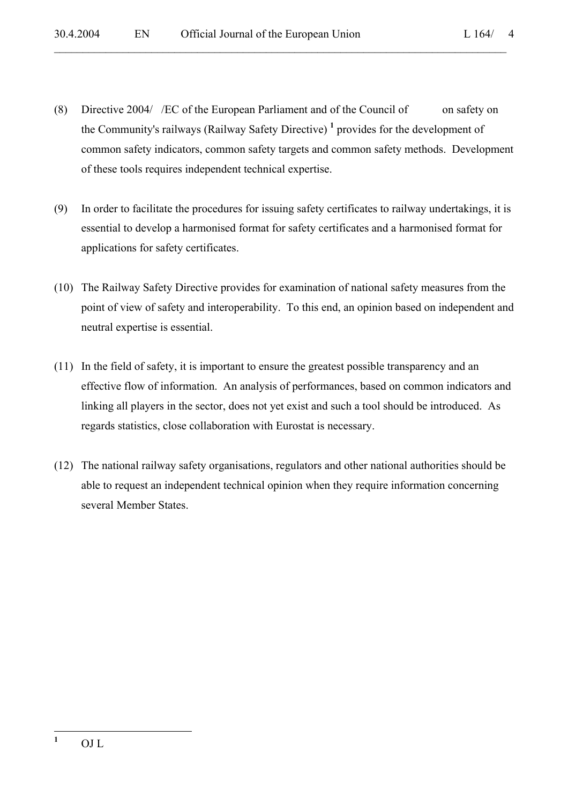(8) Directive 2004/ /EC of the European Parliament and of the Council of on safety on the Community's railways (Railway Safety Directive) **<sup>1</sup>** provides for the development of common safety indicators, common safety targets and common safety methods. Development of these tools requires independent technical expertise.

- (9) In order to facilitate the procedures for issuing safety certificates to railway undertakings, it is essential to develop a harmonised format for safety certificates and a harmonised format for applications for safety certificates.
- (10) The Railway Safety Directive provides for examination of national safety measures from the point of view of safety and interoperability. To this end, an opinion based on independent and neutral expertise is essential.
- (11) In the field of safety, it is important to ensure the greatest possible transparency and an effective flow of information. An analysis of performances, based on common indicators and linking all players in the sector, does not yet exist and such a tool should be introduced. As regards statistics, close collaboration with Eurostat is necessary.
- (12) The national railway safety organisations, regulators and other national authorities should be able to request an independent technical opinion when they require information concerning several Member States.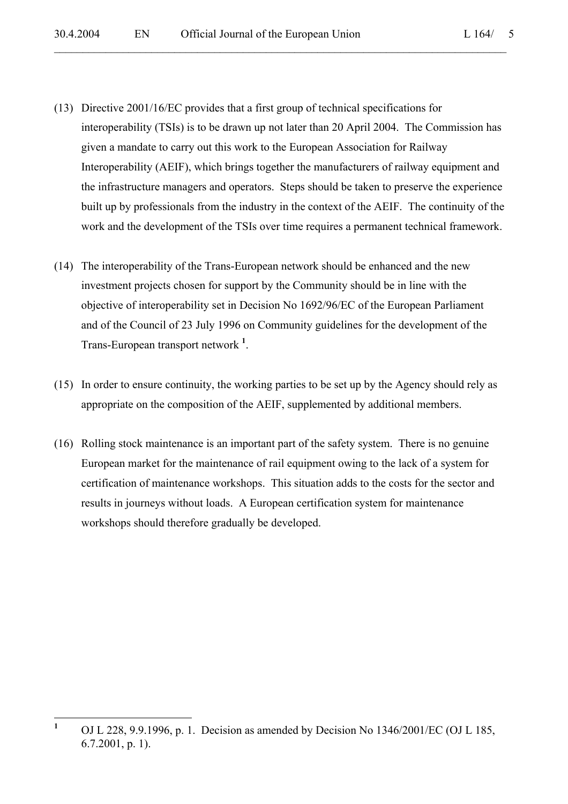(13) Directive 2001/16/EC provides that a first group of technical specifications for interoperability (TSIs) is to be drawn up not later than 20 April 2004. The Commission has given a mandate to carry out this work to the European Association for Railway Interoperability (AEIF), which brings together the manufacturers of railway equipment and the infrastructure managers and operators. Steps should be taken to preserve the experience built up by professionals from the industry in the context of the AEIF. The continuity of the work and the development of the TSIs over time requires a permanent technical framework.

- (14) The interoperability of the Trans-European network should be enhanced and the new investment projects chosen for support by the Community should be in line with the objective of interoperability set in Decision No 1692/96/EC of the European Parliament and of the Council of 23 July 1996 on Community guidelines for the development of the Trans-European transport network **<sup>1</sup>** .
- (15) In order to ensure continuity, the working parties to be set up by the Agency should rely as appropriate on the composition of the AEIF, supplemented by additional members.
- (16) Rolling stock maintenance is an important part of the safety system. There is no genuine European market for the maintenance of rail equipment owing to the lack of a system for certification of maintenance workshops. This situation adds to the costs for the sector and results in journeys without loads. A European certification system for maintenance workshops should therefore gradually be developed.

 **1** OJ L 228, 9.9.1996, p. 1. Decision as amended by Decision No 1346/2001/EC (OJ L 185, 6.7.2001, p. 1).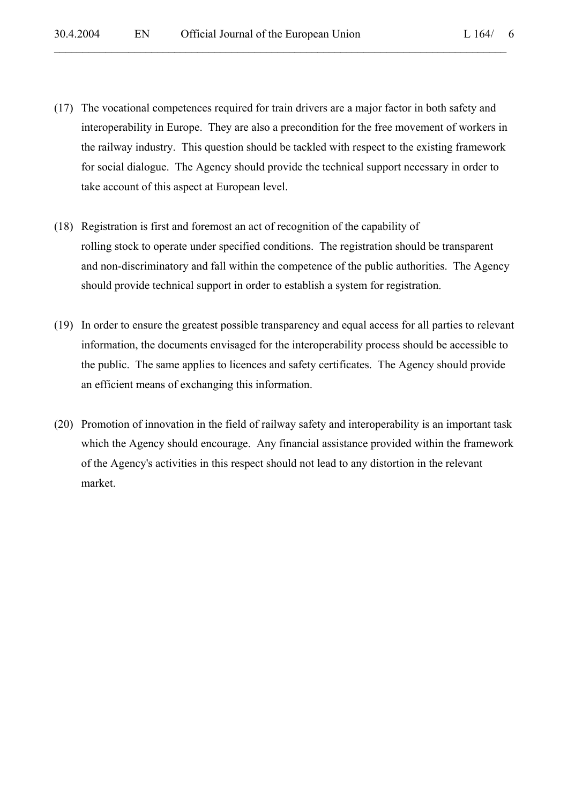(17) The vocational competences required for train drivers are a major factor in both safety and interoperability in Europe. They are also a precondition for the free movement of workers in the railway industry. This question should be tackled with respect to the existing framework for social dialogue. The Agency should provide the technical support necessary in order to take account of this aspect at European level.

- (18) Registration is first and foremost an act of recognition of the capability of rolling stock to operate under specified conditions. The registration should be transparent and non-discriminatory and fall within the competence of the public authorities. The Agency should provide technical support in order to establish a system for registration.
- (19) In order to ensure the greatest possible transparency and equal access for all parties to relevant information, the documents envisaged for the interoperability process should be accessible to the public. The same applies to licences and safety certificates. The Agency should provide an efficient means of exchanging this information.
- (20) Promotion of innovation in the field of railway safety and interoperability is an important task which the Agency should encourage. Any financial assistance provided within the framework of the Agency's activities in this respect should not lead to any distortion in the relevant market.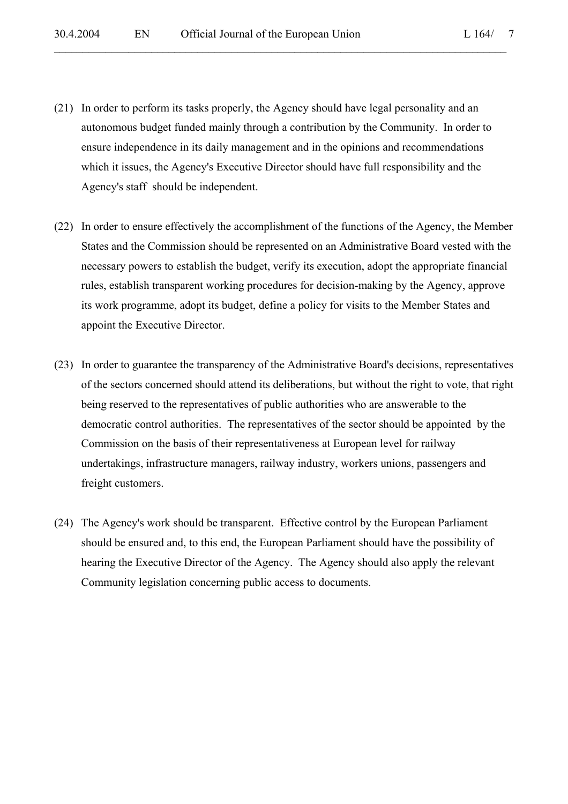(21) In order to perform its tasks properly, the Agency should have legal personality and an autonomous budget funded mainly through a contribution by the Community. In order to ensure independence in its daily management and in the opinions and recommendations which it issues, the Agency's Executive Director should have full responsibility and the Agency's staff should be independent.

- (22) In order to ensure effectively the accomplishment of the functions of the Agency, the Member States and the Commission should be represented on an Administrative Board vested with the necessary powers to establish the budget, verify its execution, adopt the appropriate financial rules, establish transparent working procedures for decision-making by the Agency, approve its work programme, adopt its budget, define a policy for visits to the Member States and appoint the Executive Director.
- (23) In order to guarantee the transparency of the Administrative Board's decisions, representatives of the sectors concerned should attend its deliberations, but without the right to vote, that right being reserved to the representatives of public authorities who are answerable to the democratic control authorities. The representatives of the sector should be appointed by the Commission on the basis of their representativeness at European level for railway undertakings, infrastructure managers, railway industry, workers unions, passengers and freight customers.
- (24) The Agency's work should be transparent. Effective control by the European Parliament should be ensured and, to this end, the European Parliament should have the possibility of hearing the Executive Director of the Agency. The Agency should also apply the relevant Community legislation concerning public access to documents.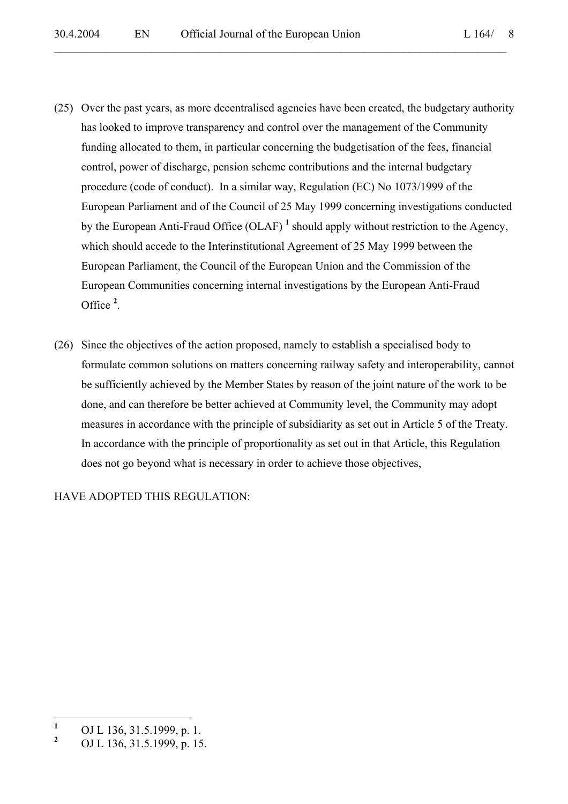- (25) Over the past years, as more decentralised agencies have been created, the budgetary authority has looked to improve transparency and control over the management of the Community funding allocated to them, in particular concerning the budgetisation of the fees, financial control, power of discharge, pension scheme contributions and the internal budgetary procedure (code of conduct). In a similar way, Regulation (EC) No 1073/1999 of the European Parliament and of the Council of 25 May 1999 concerning investigations conducted by the European Anti-Fraud Office (OLAF)<sup>1</sup> should apply without restriction to the Agency, which should accede to the Interinstitutional Agreement of 25 May 1999 between the European Parliament, the Council of the European Union and the Commission of the European Communities concerning internal investigations by the European Anti-Fraud Office **<sup>2</sup>** .
- (26) Since the objectives of the action proposed, namely to establish a specialised body to formulate common solutions on matters concerning railway safety and interoperability, cannot be sufficiently achieved by the Member States by reason of the joint nature of the work to be done, and can therefore be better achieved at Community level, the Community may adopt measures in accordance with the principle of subsidiarity as set out in Article 5 of the Treaty. In accordance with the principle of proportionality as set out in that Article, this Regulation does not go beyond what is necessary in order to achieve those objectives,

HAVE ADOPTED THIS REGULATION:

 **1** OJ L 136, 31.5.1999, p. 1.

**<sup>2</sup>** OJ L 136, 31.5.1999, p. 15.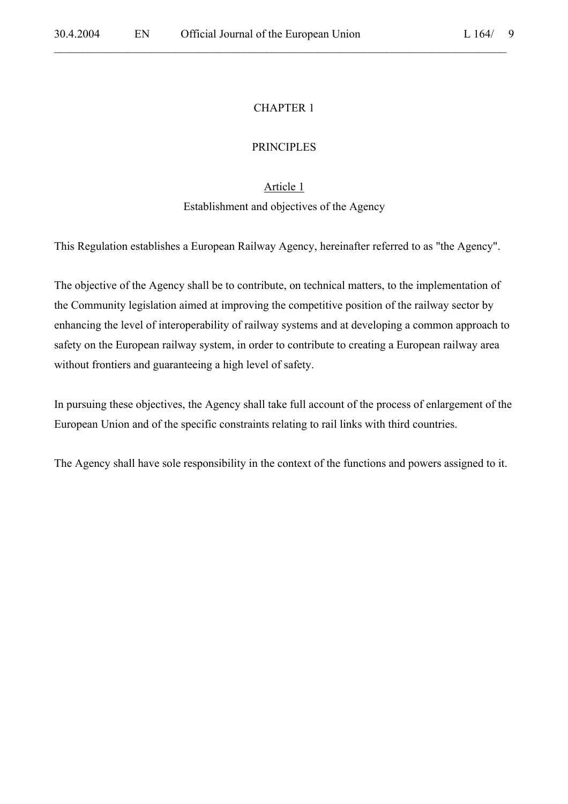### CHAPTER 1

 $\mathcal{L}_\mathcal{L} = \mathcal{L}_\mathcal{L} = \mathcal{L}_\mathcal{L} = \mathcal{L}_\mathcal{L} = \mathcal{L}_\mathcal{L} = \mathcal{L}_\mathcal{L} = \mathcal{L}_\mathcal{L} = \mathcal{L}_\mathcal{L} = \mathcal{L}_\mathcal{L} = \mathcal{L}_\mathcal{L} = \mathcal{L}_\mathcal{L} = \mathcal{L}_\mathcal{L} = \mathcal{L}_\mathcal{L} = \mathcal{L}_\mathcal{L} = \mathcal{L}_\mathcal{L} = \mathcal{L}_\mathcal{L} = \mathcal{L}_\mathcal{L}$ 

#### PRINCIPLES

#### Article 1

#### Establishment and objectives of the Agency

This Regulation establishes a European Railway Agency, hereinafter referred to as "the Agency".

The objective of the Agency shall be to contribute, on technical matters, to the implementation of the Community legislation aimed at improving the competitive position of the railway sector by enhancing the level of interoperability of railway systems and at developing a common approach to safety on the European railway system, in order to contribute to creating a European railway area without frontiers and guaranteeing a high level of safety.

In pursuing these objectives, the Agency shall take full account of the process of enlargement of the European Union and of the specific constraints relating to rail links with third countries.

The Agency shall have sole responsibility in the context of the functions and powers assigned to it.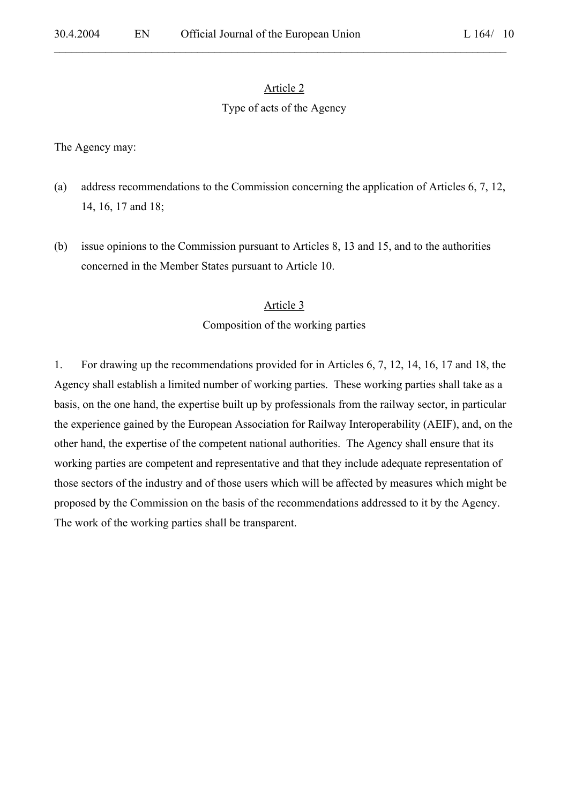$\mathcal{L}_\mathcal{L} = \mathcal{L}_\mathcal{L} = \mathcal{L}_\mathcal{L} = \mathcal{L}_\mathcal{L} = \mathcal{L}_\mathcal{L} = \mathcal{L}_\mathcal{L} = \mathcal{L}_\mathcal{L} = \mathcal{L}_\mathcal{L} = \mathcal{L}_\mathcal{L} = \mathcal{L}_\mathcal{L} = \mathcal{L}_\mathcal{L} = \mathcal{L}_\mathcal{L} = \mathcal{L}_\mathcal{L} = \mathcal{L}_\mathcal{L} = \mathcal{L}_\mathcal{L} = \mathcal{L}_\mathcal{L} = \mathcal{L}_\mathcal{L}$ 

#### Type of acts of the Agency

The Agency may:

- (a) address recommendations to the Commission concerning the application of Articles 6, 7, 12, 14, 16, 17 and 18;
- (b) issue opinions to the Commission pursuant to Articles 8, 13 and 15, and to the authorities concerned in the Member States pursuant to Article 10.

#### Article 3

#### Composition of the working parties

1. For drawing up the recommendations provided for in Articles 6, 7, 12, 14, 16, 17 and 18, the Agency shall establish a limited number of working parties. These working parties shall take as a basis, on the one hand, the expertise built up by professionals from the railway sector, in particular the experience gained by the European Association for Railway Interoperability (AEIF), and, on the other hand, the expertise of the competent national authorities. The Agency shall ensure that its working parties are competent and representative and that they include adequate representation of those sectors of the industry and of those users which will be affected by measures which might be proposed by the Commission on the basis of the recommendations addressed to it by the Agency. The work of the working parties shall be transparent.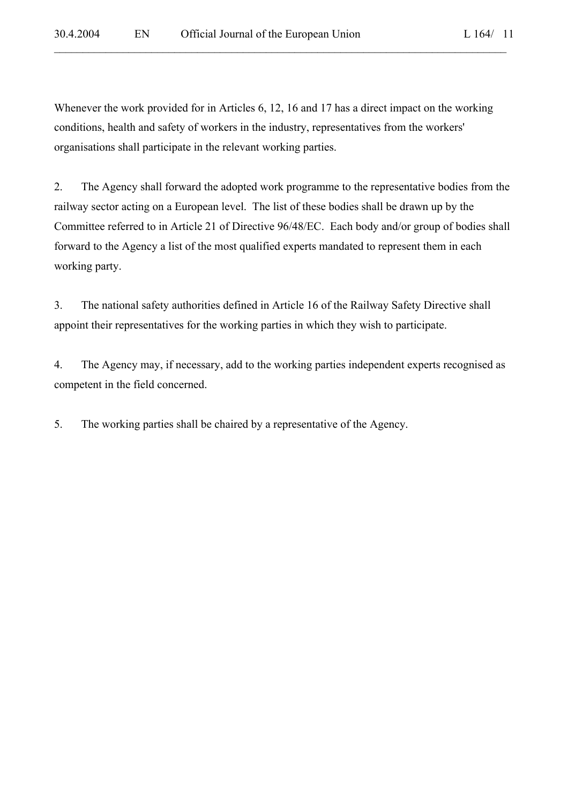Whenever the work provided for in Articles 6, 12, 16 and 17 has a direct impact on the working conditions, health and safety of workers in the industry, representatives from the workers' organisations shall participate in the relevant working parties.

 $\mathcal{L}_\mathcal{L} = \mathcal{L}_\mathcal{L} = \mathcal{L}_\mathcal{L} = \mathcal{L}_\mathcal{L} = \mathcal{L}_\mathcal{L} = \mathcal{L}_\mathcal{L} = \mathcal{L}_\mathcal{L} = \mathcal{L}_\mathcal{L} = \mathcal{L}_\mathcal{L} = \mathcal{L}_\mathcal{L} = \mathcal{L}_\mathcal{L} = \mathcal{L}_\mathcal{L} = \mathcal{L}_\mathcal{L} = \mathcal{L}_\mathcal{L} = \mathcal{L}_\mathcal{L} = \mathcal{L}_\mathcal{L} = \mathcal{L}_\mathcal{L}$ 

2. The Agency shall forward the adopted work programme to the representative bodies from the railway sector acting on a European level. The list of these bodies shall be drawn up by the Committee referred to in Article 21 of Directive 96/48/EC. Each body and/or group of bodies shall forward to the Agency a list of the most qualified experts mandated to represent them in each working party.

3. The national safety authorities defined in Article 16 of the Railway Safety Directive shall appoint their representatives for the working parties in which they wish to participate.

4. The Agency may, if necessary, add to the working parties independent experts recognised as competent in the field concerned.

5. The working parties shall be chaired by a representative of the Agency.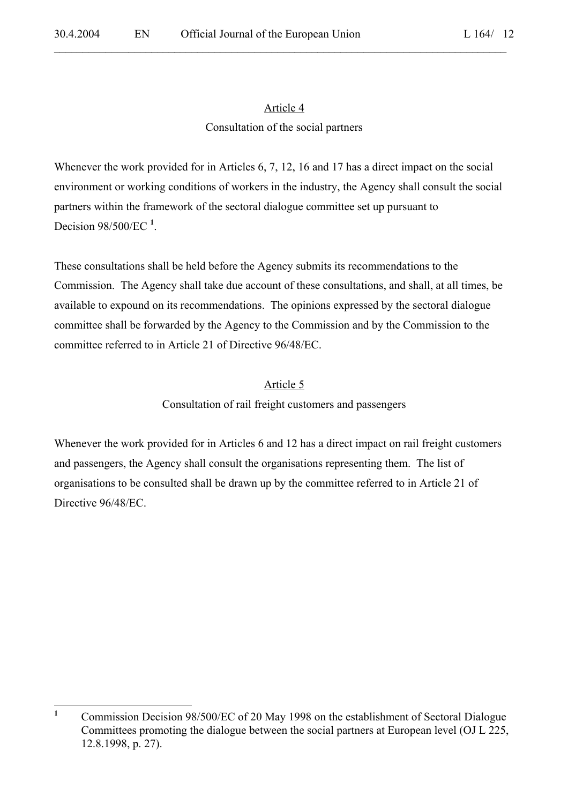$\mathcal{L}_\mathcal{L} = \mathcal{L}_\mathcal{L} = \mathcal{L}_\mathcal{L} = \mathcal{L}_\mathcal{L} = \mathcal{L}_\mathcal{L} = \mathcal{L}_\mathcal{L} = \mathcal{L}_\mathcal{L} = \mathcal{L}_\mathcal{L} = \mathcal{L}_\mathcal{L} = \mathcal{L}_\mathcal{L} = \mathcal{L}_\mathcal{L} = \mathcal{L}_\mathcal{L} = \mathcal{L}_\mathcal{L} = \mathcal{L}_\mathcal{L} = \mathcal{L}_\mathcal{L} = \mathcal{L}_\mathcal{L} = \mathcal{L}_\mathcal{L}$ 

# Article 4 Consultation of the social partners

Whenever the work provided for in Articles 6, 7, 12, 16 and 17 has a direct impact on the social environment or working conditions of workers in the industry, the Agency shall consult the social partners within the framework of the sectoral dialogue committee set up pursuant to Decision 98/500/EC **<sup>1</sup>** .

These consultations shall be held before the Agency submits its recommendations to the Commission. The Agency shall take due account of these consultations, and shall, at all times, be available to expound on its recommendations. The opinions expressed by the sectoral dialogue committee shall be forwarded by the Agency to the Commission and by the Commission to the committee referred to in Article 21 of Directive 96/48/EC.

# Article 5

Consultation of rail freight customers and passengers

Whenever the work provided for in Articles 6 and 12 has a direct impact on rail freight customers and passengers, the Agency shall consult the organisations representing them. The list of organisations to be consulted shall be drawn up by the committee referred to in Article 21 of Directive 96/48/EC.

 **1** Commission Decision 98/500/EC of 20 May 1998 on the establishment of Sectoral Dialogue Committees promoting the dialogue between the social partners at European level (OJ L 225, 12.8.1998, p. 27).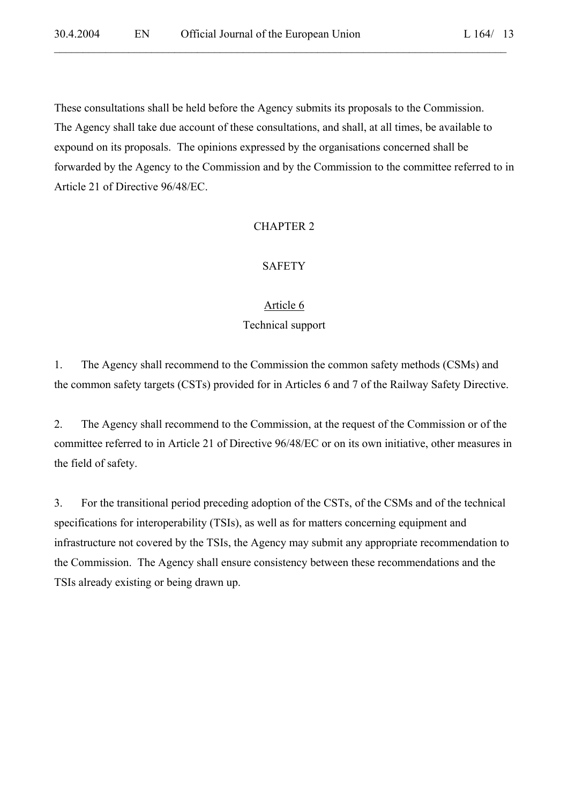These consultations shall be held before the Agency submits its proposals to the Commission. The Agency shall take due account of these consultations, and shall, at all times, be available to expound on its proposals. The opinions expressed by the organisations concerned shall be forwarded by the Agency to the Commission and by the Commission to the committee referred to in Article 21 of Directive 96/48/EC.

 $\mathcal{L}_\mathcal{L} = \mathcal{L}_\mathcal{L} = \mathcal{L}_\mathcal{L} = \mathcal{L}_\mathcal{L} = \mathcal{L}_\mathcal{L} = \mathcal{L}_\mathcal{L} = \mathcal{L}_\mathcal{L} = \mathcal{L}_\mathcal{L} = \mathcal{L}_\mathcal{L} = \mathcal{L}_\mathcal{L} = \mathcal{L}_\mathcal{L} = \mathcal{L}_\mathcal{L} = \mathcal{L}_\mathcal{L} = \mathcal{L}_\mathcal{L} = \mathcal{L}_\mathcal{L} = \mathcal{L}_\mathcal{L} = \mathcal{L}_\mathcal{L}$ 

### CHAPTER 2

# SAFETY

#### Article 6

# Technical support

1. The Agency shall recommend to the Commission the common safety methods (CSMs) and the common safety targets (CSTs) provided for in Articles 6 and 7 of the Railway Safety Directive.

2. The Agency shall recommend to the Commission, at the request of the Commission or of the committee referred to in Article 21 of Directive 96/48/EC or on its own initiative, other measures in the field of safety.

3. For the transitional period preceding adoption of the CSTs, of the CSMs and of the technical specifications for interoperability (TSIs), as well as for matters concerning equipment and infrastructure not covered by the TSIs, the Agency may submit any appropriate recommendation to the Commission. The Agency shall ensure consistency between these recommendations and the TSIs already existing or being drawn up.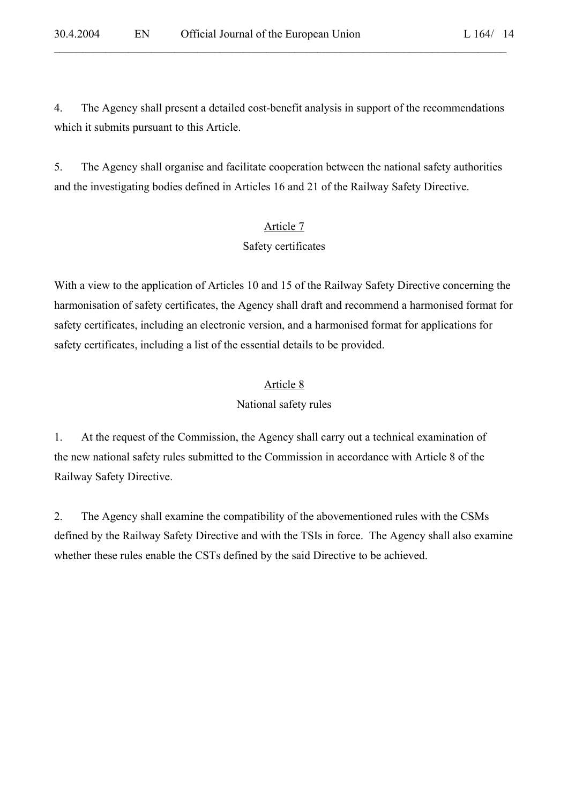4. The Agency shall present a detailed cost-benefit analysis in support of the recommendations

which it submits pursuant to this Article.

 $\mathcal{L}_\mathcal{L} = \mathcal{L}_\mathcal{L} = \mathcal{L}_\mathcal{L} = \mathcal{L}_\mathcal{L} = \mathcal{L}_\mathcal{L} = \mathcal{L}_\mathcal{L} = \mathcal{L}_\mathcal{L} = \mathcal{L}_\mathcal{L} = \mathcal{L}_\mathcal{L} = \mathcal{L}_\mathcal{L} = \mathcal{L}_\mathcal{L} = \mathcal{L}_\mathcal{L} = \mathcal{L}_\mathcal{L} = \mathcal{L}_\mathcal{L} = \mathcal{L}_\mathcal{L} = \mathcal{L}_\mathcal{L} = \mathcal{L}_\mathcal{L}$ 

5. The Agency shall organise and facilitate cooperation between the national safety authorities and the investigating bodies defined in Articles 16 and 21 of the Railway Safety Directive.

# Article 7

# Safety certificates

With a view to the application of Articles 10 and 15 of the Railway Safety Directive concerning the harmonisation of safety certificates, the Agency shall draft and recommend a harmonised format for safety certificates, including an electronic version, and a harmonised format for applications for safety certificates, including a list of the essential details to be provided.

# Article 8

# National safety rules

1. At the request of the Commission, the Agency shall carry out a technical examination of the new national safety rules submitted to the Commission in accordance with Article 8 of the Railway Safety Directive.

2. The Agency shall examine the compatibility of the abovementioned rules with the CSMs defined by the Railway Safety Directive and with the TSIs in force. The Agency shall also examine whether these rules enable the CSTs defined by the said Directive to be achieved.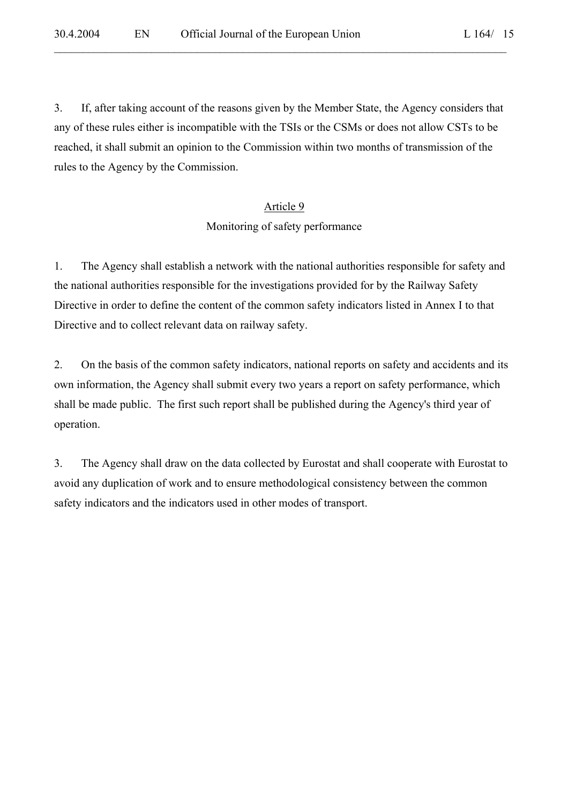3. If, after taking account of the reasons given by the Member State, the Agency considers that any of these rules either is incompatible with the TSIs or the CSMs or does not allow CSTs to be reached, it shall submit an opinion to the Commission within two months of transmission of the rules to the Agency by the Commission.

 $\mathcal{L}_\mathcal{L} = \mathcal{L}_\mathcal{L} = \mathcal{L}_\mathcal{L} = \mathcal{L}_\mathcal{L} = \mathcal{L}_\mathcal{L} = \mathcal{L}_\mathcal{L} = \mathcal{L}_\mathcal{L} = \mathcal{L}_\mathcal{L} = \mathcal{L}_\mathcal{L} = \mathcal{L}_\mathcal{L} = \mathcal{L}_\mathcal{L} = \mathcal{L}_\mathcal{L} = \mathcal{L}_\mathcal{L} = \mathcal{L}_\mathcal{L} = \mathcal{L}_\mathcal{L} = \mathcal{L}_\mathcal{L} = \mathcal{L}_\mathcal{L}$ 

### Article 9

#### Monitoring of safety performance

1. The Agency shall establish a network with the national authorities responsible for safety and the national authorities responsible for the investigations provided for by the Railway Safety Directive in order to define the content of the common safety indicators listed in Annex I to that Directive and to collect relevant data on railway safety.

2. On the basis of the common safety indicators, national reports on safety and accidents and its own information, the Agency shall submit every two years a report on safety performance, which shall be made public. The first such report shall be published during the Agency's third year of operation.

3. The Agency shall draw on the data collected by Eurostat and shall cooperate with Eurostat to avoid any duplication of work and to ensure methodological consistency between the common safety indicators and the indicators used in other modes of transport.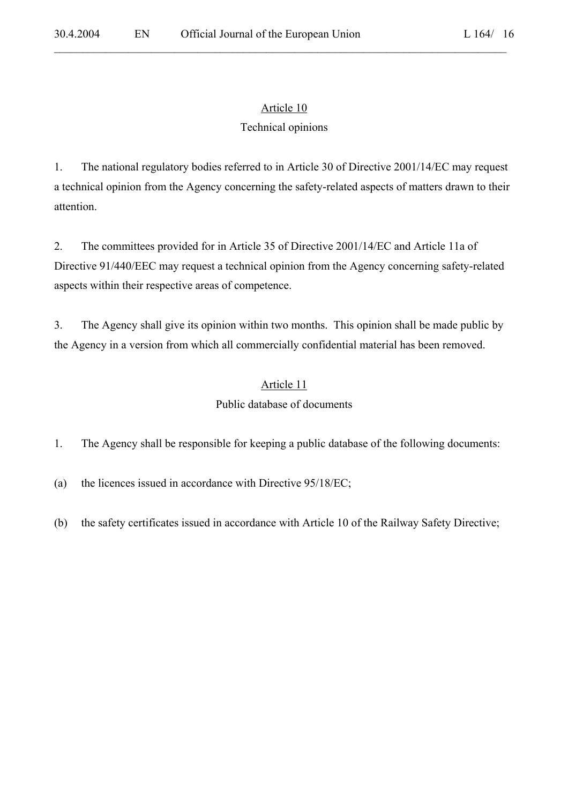$\mathcal{L}_\mathcal{L} = \mathcal{L}_\mathcal{L} = \mathcal{L}_\mathcal{L} = \mathcal{L}_\mathcal{L} = \mathcal{L}_\mathcal{L} = \mathcal{L}_\mathcal{L} = \mathcal{L}_\mathcal{L} = \mathcal{L}_\mathcal{L} = \mathcal{L}_\mathcal{L} = \mathcal{L}_\mathcal{L} = \mathcal{L}_\mathcal{L} = \mathcal{L}_\mathcal{L} = \mathcal{L}_\mathcal{L} = \mathcal{L}_\mathcal{L} = \mathcal{L}_\mathcal{L} = \mathcal{L}_\mathcal{L} = \mathcal{L}_\mathcal{L}$ 

# Article 10

# Technical opinions

1. The national regulatory bodies referred to in Article 30 of Directive 2001/14/EC may request a technical opinion from the Agency concerning the safety-related aspects of matters drawn to their attention.

2. The committees provided for in Article 35 of Directive 2001/14/EC and Article 11a of Directive 91/440/EEC may request a technical opinion from the Agency concerning safety-related aspects within their respective areas of competence.

3. The Agency shall give its opinion within two months. This opinion shall be made public by the Agency in a version from which all commercially confidential material has been removed.

# Article 11

# Public database of documents

1. The Agency shall be responsible for keeping a public database of the following documents:

(a) the licences issued in accordance with Directive 95/18/EC;

(b) the safety certificates issued in accordance with Article 10 of the Railway Safety Directive;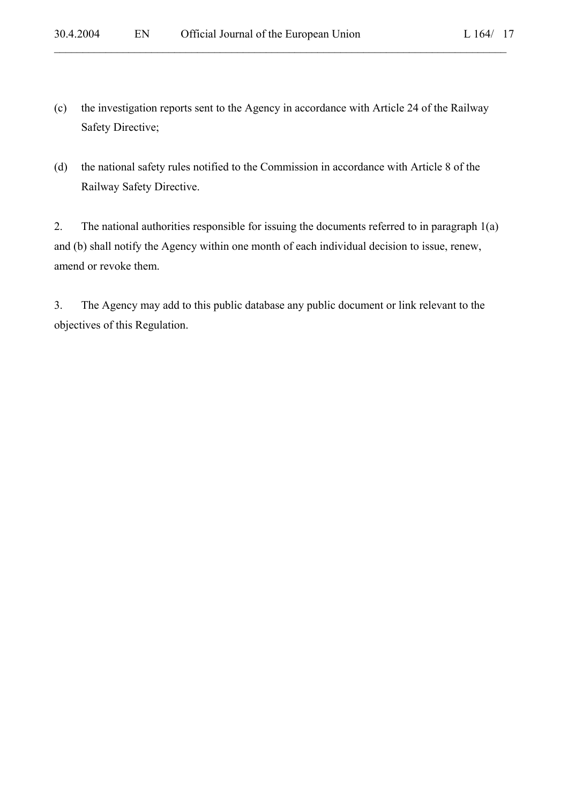(c) the investigation reports sent to the Agency in accordance with Article 24 of the Railway Safety Directive;

 $\mathcal{L}_\mathcal{L} = \mathcal{L}_\mathcal{L} = \mathcal{L}_\mathcal{L} = \mathcal{L}_\mathcal{L} = \mathcal{L}_\mathcal{L} = \mathcal{L}_\mathcal{L} = \mathcal{L}_\mathcal{L} = \mathcal{L}_\mathcal{L} = \mathcal{L}_\mathcal{L} = \mathcal{L}_\mathcal{L} = \mathcal{L}_\mathcal{L} = \mathcal{L}_\mathcal{L} = \mathcal{L}_\mathcal{L} = \mathcal{L}_\mathcal{L} = \mathcal{L}_\mathcal{L} = \mathcal{L}_\mathcal{L} = \mathcal{L}_\mathcal{L}$ 

(d) the national safety rules notified to the Commission in accordance with Article 8 of the Railway Safety Directive.

2. The national authorities responsible for issuing the documents referred to in paragraph 1(a) and (b) shall notify the Agency within one month of each individual decision to issue, renew, amend or revoke them.

3. The Agency may add to this public database any public document or link relevant to the objectives of this Regulation.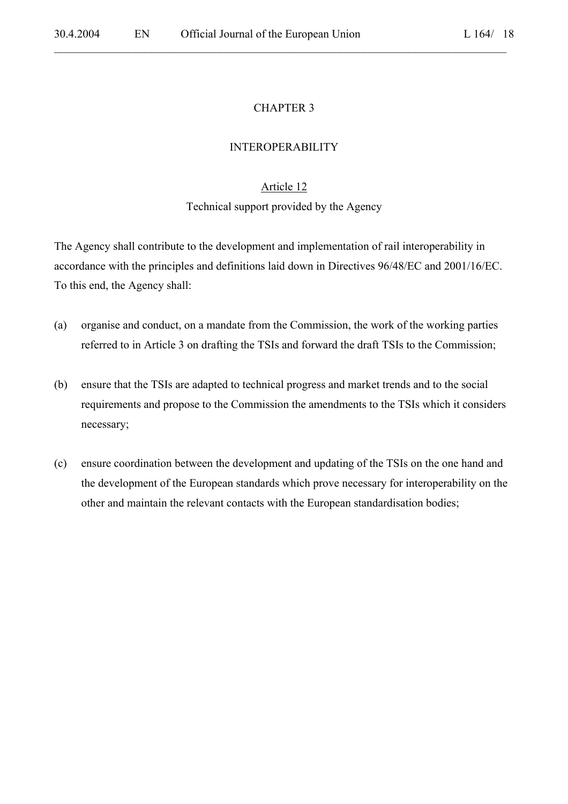# CHAPTER 3

 $\mathcal{L}_\mathcal{L} = \mathcal{L}_\mathcal{L} = \mathcal{L}_\mathcal{L} = \mathcal{L}_\mathcal{L} = \mathcal{L}_\mathcal{L} = \mathcal{L}_\mathcal{L} = \mathcal{L}_\mathcal{L} = \mathcal{L}_\mathcal{L} = \mathcal{L}_\mathcal{L} = \mathcal{L}_\mathcal{L} = \mathcal{L}_\mathcal{L} = \mathcal{L}_\mathcal{L} = \mathcal{L}_\mathcal{L} = \mathcal{L}_\mathcal{L} = \mathcal{L}_\mathcal{L} = \mathcal{L}_\mathcal{L} = \mathcal{L}_\mathcal{L}$ 

#### INTEROPERABILITY

### Article 12

#### Technical support provided by the Agency

The Agency shall contribute to the development and implementation of rail interoperability in accordance with the principles and definitions laid down in Directives 96/48/EC and 2001/16/EC. To this end, the Agency shall:

- (a) organise and conduct, on a mandate from the Commission, the work of the working parties referred to in Article 3 on drafting the TSIs and forward the draft TSIs to the Commission;
- (b) ensure that the TSIs are adapted to technical progress and market trends and to the social requirements and propose to the Commission the amendments to the TSIs which it considers necessary;
- (c) ensure coordination between the development and updating of the TSIs on the one hand and the development of the European standards which prove necessary for interoperability on the other and maintain the relevant contacts with the European standardisation bodies;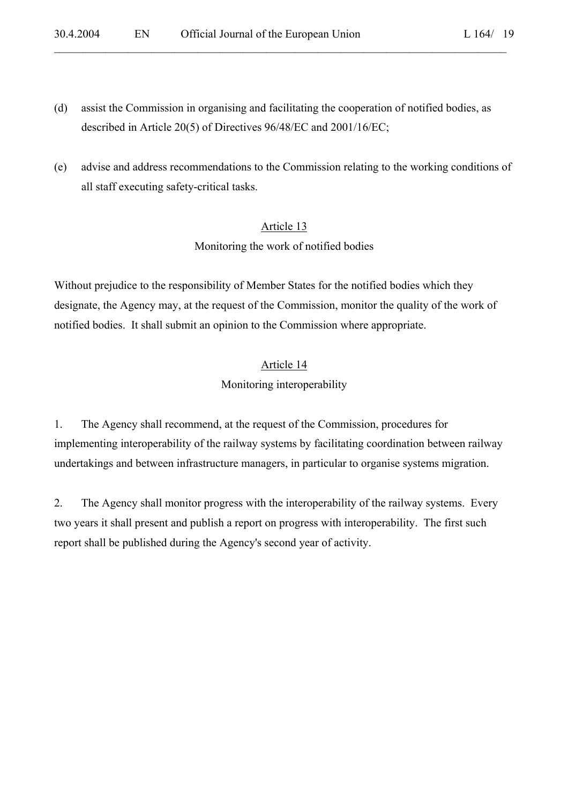(d) assist the Commission in organising and facilitating the cooperation of notified bodies, as described in Article 20(5) of Directives 96/48/EC and 2001/16/EC;

 $\mathcal{L}_\mathcal{L} = \mathcal{L}_\mathcal{L} = \mathcal{L}_\mathcal{L} = \mathcal{L}_\mathcal{L} = \mathcal{L}_\mathcal{L} = \mathcal{L}_\mathcal{L} = \mathcal{L}_\mathcal{L} = \mathcal{L}_\mathcal{L} = \mathcal{L}_\mathcal{L} = \mathcal{L}_\mathcal{L} = \mathcal{L}_\mathcal{L} = \mathcal{L}_\mathcal{L} = \mathcal{L}_\mathcal{L} = \mathcal{L}_\mathcal{L} = \mathcal{L}_\mathcal{L} = \mathcal{L}_\mathcal{L} = \mathcal{L}_\mathcal{L}$ 

(e) advise and address recommendations to the Commission relating to the working conditions of all staff executing safety-critical tasks.

# Article 13

Monitoring the work of notified bodies

Without prejudice to the responsibility of Member States for the notified bodies which they designate, the Agency may, at the request of the Commission, monitor the quality of the work of notified bodies. It shall submit an opinion to the Commission where appropriate.

# Article 14

Monitoring interoperability

1. The Agency shall recommend, at the request of the Commission, procedures for implementing interoperability of the railway systems by facilitating coordination between railway undertakings and between infrastructure managers, in particular to organise systems migration.

2. The Agency shall monitor progress with the interoperability of the railway systems. Every two years it shall present and publish a report on progress with interoperability. The first such report shall be published during the Agency's second year of activity.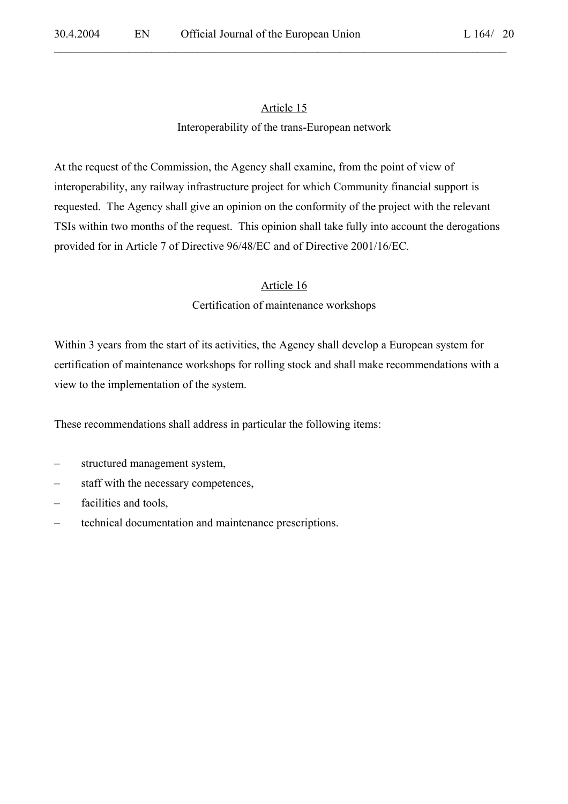$\mathcal{L}_\mathcal{L} = \mathcal{L}_\mathcal{L} = \mathcal{L}_\mathcal{L} = \mathcal{L}_\mathcal{L} = \mathcal{L}_\mathcal{L} = \mathcal{L}_\mathcal{L} = \mathcal{L}_\mathcal{L} = \mathcal{L}_\mathcal{L} = \mathcal{L}_\mathcal{L} = \mathcal{L}_\mathcal{L} = \mathcal{L}_\mathcal{L} = \mathcal{L}_\mathcal{L} = \mathcal{L}_\mathcal{L} = \mathcal{L}_\mathcal{L} = \mathcal{L}_\mathcal{L} = \mathcal{L}_\mathcal{L} = \mathcal{L}_\mathcal{L}$ 

### Interoperability of the trans-European network

At the request of the Commission, the Agency shall examine, from the point of view of interoperability, any railway infrastructure project for which Community financial support is requested. The Agency shall give an opinion on the conformity of the project with the relevant TSIs within two months of the request. This opinion shall take fully into account the derogations provided for in Article 7 of Directive 96/48/EC and of Directive 2001/16/EC.

### Article 16

# Certification of maintenance workshops

Within 3 years from the start of its activities, the Agency shall develop a European system for certification of maintenance workshops for rolling stock and shall make recommendations with a view to the implementation of the system.

These recommendations shall address in particular the following items:

- structured management system,
- staff with the necessary competences,
- facilities and tools,
- technical documentation and maintenance prescriptions.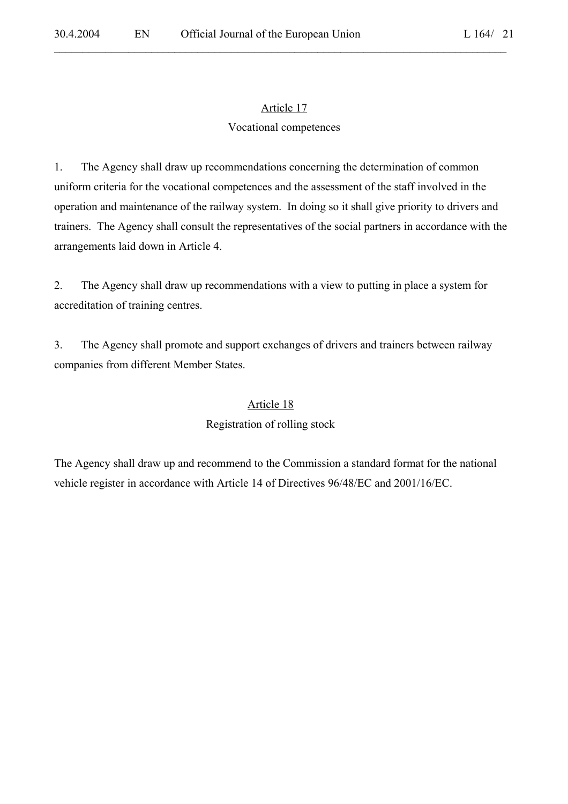$\mathcal{L}_\mathcal{L} = \mathcal{L}_\mathcal{L} = \mathcal{L}_\mathcal{L} = \mathcal{L}_\mathcal{L} = \mathcal{L}_\mathcal{L} = \mathcal{L}_\mathcal{L} = \mathcal{L}_\mathcal{L} = \mathcal{L}_\mathcal{L} = \mathcal{L}_\mathcal{L} = \mathcal{L}_\mathcal{L} = \mathcal{L}_\mathcal{L} = \mathcal{L}_\mathcal{L} = \mathcal{L}_\mathcal{L} = \mathcal{L}_\mathcal{L} = \mathcal{L}_\mathcal{L} = \mathcal{L}_\mathcal{L} = \mathcal{L}_\mathcal{L}$ 

### Vocational competences

1. The Agency shall draw up recommendations concerning the determination of common uniform criteria for the vocational competences and the assessment of the staff involved in the operation and maintenance of the railway system. In doing so it shall give priority to drivers and trainers. The Agency shall consult the representatives of the social partners in accordance with the arrangements laid down in Article 4.

2. The Agency shall draw up recommendations with a view to putting in place a system for accreditation of training centres.

3. The Agency shall promote and support exchanges of drivers and trainers between railway companies from different Member States.

### Article 18

#### Registration of rolling stock

The Agency shall draw up and recommend to the Commission a standard format for the national vehicle register in accordance with Article 14 of Directives 96/48/EC and 2001/16/EC.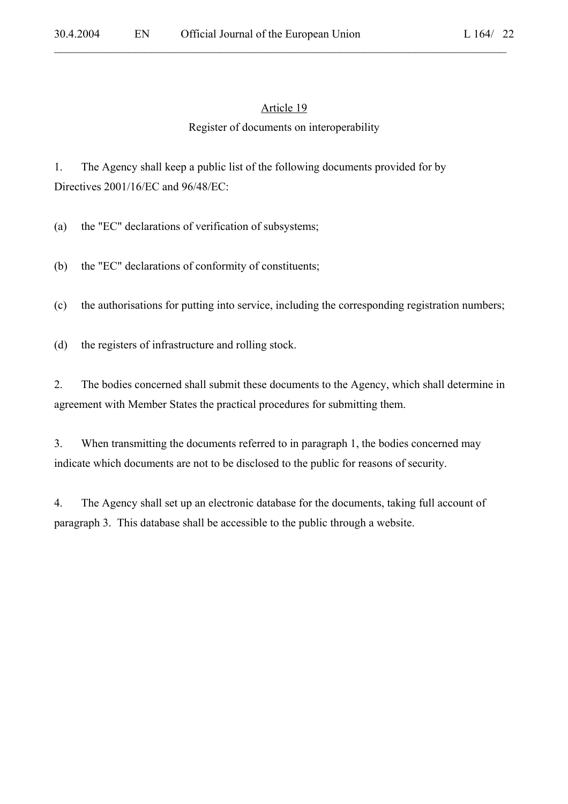$\mathcal{L}_\mathcal{L} = \mathcal{L}_\mathcal{L} = \mathcal{L}_\mathcal{L} = \mathcal{L}_\mathcal{L} = \mathcal{L}_\mathcal{L} = \mathcal{L}_\mathcal{L} = \mathcal{L}_\mathcal{L} = \mathcal{L}_\mathcal{L} = \mathcal{L}_\mathcal{L} = \mathcal{L}_\mathcal{L} = \mathcal{L}_\mathcal{L} = \mathcal{L}_\mathcal{L} = \mathcal{L}_\mathcal{L} = \mathcal{L}_\mathcal{L} = \mathcal{L}_\mathcal{L} = \mathcal{L}_\mathcal{L} = \mathcal{L}_\mathcal{L}$ 

#### Register of documents on interoperability

1. The Agency shall keep a public list of the following documents provided for by Directives 2001/16/EC and 96/48/EC:

(a) the "EC" declarations of verification of subsystems;

(b) the "EC" declarations of conformity of constituents;

(c) the authorisations for putting into service, including the corresponding registration numbers;

(d) the registers of infrastructure and rolling stock.

2. The bodies concerned shall submit these documents to the Agency, which shall determine in agreement with Member States the practical procedures for submitting them.

3. When transmitting the documents referred to in paragraph 1, the bodies concerned may indicate which documents are not to be disclosed to the public for reasons of security.

4. The Agency shall set up an electronic database for the documents, taking full account of paragraph 3. This database shall be accessible to the public through a website.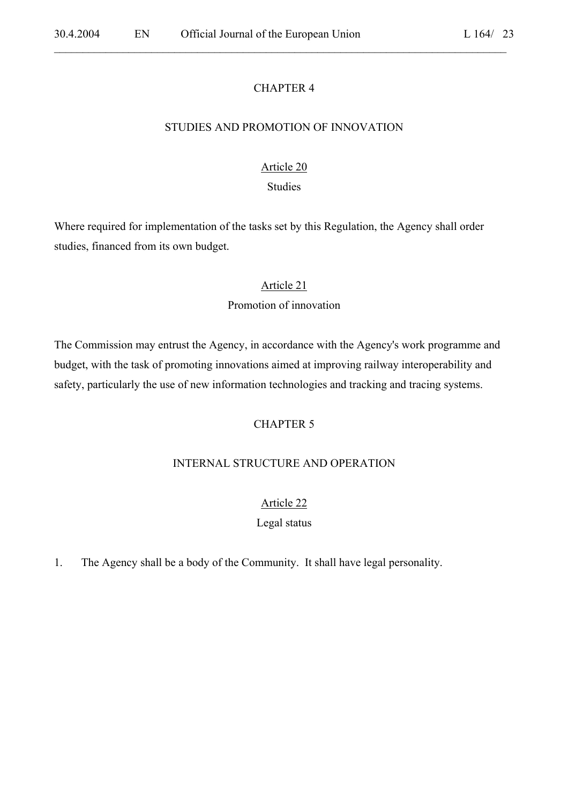#### CHAPTER 4

 $\mathcal{L}_\mathcal{L} = \mathcal{L}_\mathcal{L} = \mathcal{L}_\mathcal{L} = \mathcal{L}_\mathcal{L} = \mathcal{L}_\mathcal{L} = \mathcal{L}_\mathcal{L} = \mathcal{L}_\mathcal{L} = \mathcal{L}_\mathcal{L} = \mathcal{L}_\mathcal{L} = \mathcal{L}_\mathcal{L} = \mathcal{L}_\mathcal{L} = \mathcal{L}_\mathcal{L} = \mathcal{L}_\mathcal{L} = \mathcal{L}_\mathcal{L} = \mathcal{L}_\mathcal{L} = \mathcal{L}_\mathcal{L} = \mathcal{L}_\mathcal{L}$ 

#### STUDIES AND PROMOTION OF INNOVATION

### Article 20

#### Studies

Where required for implementation of the tasks set by this Regulation, the Agency shall order studies, financed from its own budget.

#### Article 21

### Promotion of innovation

The Commission may entrust the Agency, in accordance with the Agency's work programme and budget, with the task of promoting innovations aimed at improving railway interoperability and safety, particularly the use of new information technologies and tracking and tracing systems.

### CHAPTER 5

#### INTERNAL STRUCTURE AND OPERATION

#### Article 22

#### Legal status

1. The Agency shall be a body of the Community. It shall have legal personality.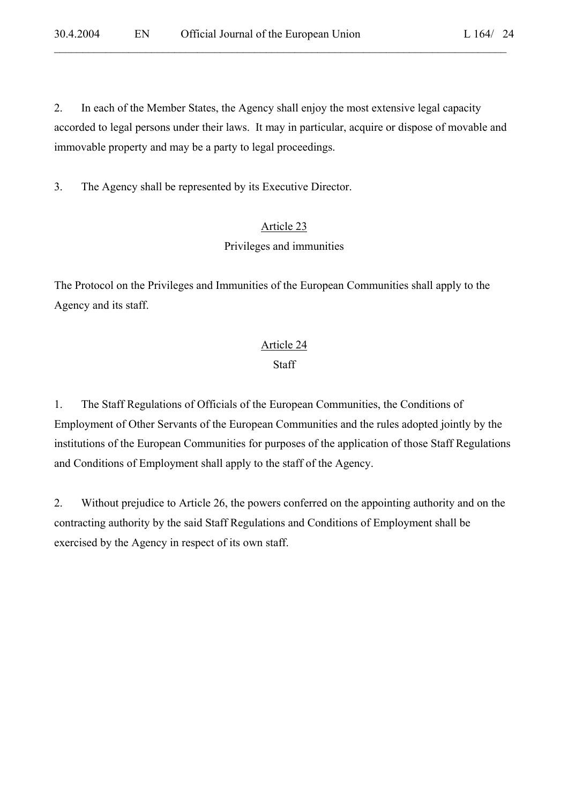2. In each of the Member States, the Agency shall enjoy the most extensive legal capacity accorded to legal persons under their laws. It may in particular, acquire or dispose of movable and immovable property and may be a party to legal proceedings.

 $\mathcal{L}_\mathcal{L} = \mathcal{L}_\mathcal{L} = \mathcal{L}_\mathcal{L} = \mathcal{L}_\mathcal{L} = \mathcal{L}_\mathcal{L} = \mathcal{L}_\mathcal{L} = \mathcal{L}_\mathcal{L} = \mathcal{L}_\mathcal{L} = \mathcal{L}_\mathcal{L} = \mathcal{L}_\mathcal{L} = \mathcal{L}_\mathcal{L} = \mathcal{L}_\mathcal{L} = \mathcal{L}_\mathcal{L} = \mathcal{L}_\mathcal{L} = \mathcal{L}_\mathcal{L} = \mathcal{L}_\mathcal{L} = \mathcal{L}_\mathcal{L}$ 

3. The Agency shall be represented by its Executive Director.

# Article 23

# Privileges and immunities

The Protocol on the Privileges and Immunities of the European Communities shall apply to the Agency and its staff.

# Article 24

# **Staff**

1. The Staff Regulations of Officials of the European Communities, the Conditions of Employment of Other Servants of the European Communities and the rules adopted jointly by the institutions of the European Communities for purposes of the application of those Staff Regulations and Conditions of Employment shall apply to the staff of the Agency.

2. Without prejudice to Article 26, the powers conferred on the appointing authority and on the contracting authority by the said Staff Regulations and Conditions of Employment shall be exercised by the Agency in respect of its own staff.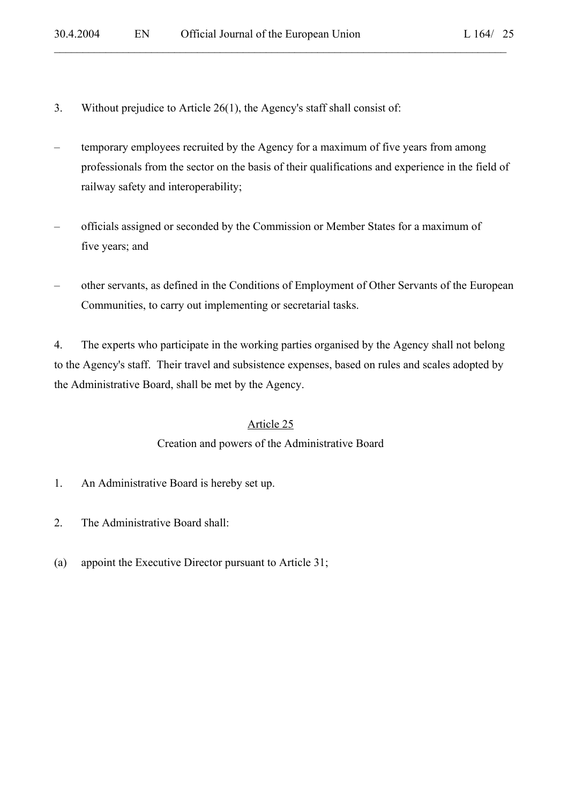- 3. Without prejudice to Article 26(1), the Agency's staff shall consist of:
- temporary employees recruited by the Agency for a maximum of five years from among professionals from the sector on the basis of their qualifications and experience in the field of railway safety and interoperability;

 $\mathcal{L}_\mathcal{L} = \mathcal{L}_\mathcal{L} = \mathcal{L}_\mathcal{L} = \mathcal{L}_\mathcal{L} = \mathcal{L}_\mathcal{L} = \mathcal{L}_\mathcal{L} = \mathcal{L}_\mathcal{L} = \mathcal{L}_\mathcal{L} = \mathcal{L}_\mathcal{L} = \mathcal{L}_\mathcal{L} = \mathcal{L}_\mathcal{L} = \mathcal{L}_\mathcal{L} = \mathcal{L}_\mathcal{L} = \mathcal{L}_\mathcal{L} = \mathcal{L}_\mathcal{L} = \mathcal{L}_\mathcal{L} = \mathcal{L}_\mathcal{L}$ 

- officials assigned or seconded by the Commission or Member States for a maximum of five years; and
- other servants, as defined in the Conditions of Employment of Other Servants of the European Communities, to carry out implementing or secretarial tasks.

 4. The experts who participate in the working parties organised by the Agency shall not belong to the Agency's staff. Their travel and subsistence expenses, based on rules and scales adopted by the Administrative Board, shall be met by the Agency.

# Article 25

# Creation and powers of the Administrative Board

- 1. An Administrative Board is hereby set up.
- 2. The Administrative Board shall:
- (a) appoint the Executive Director pursuant to Article 31;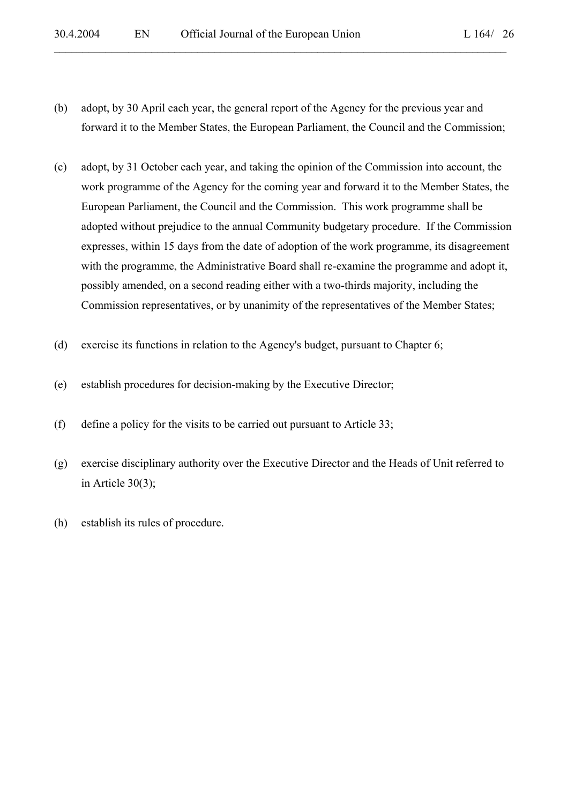(b) adopt, by 30 April each year, the general report of the Agency for the previous year and forward it to the Member States, the European Parliament, the Council and the Commission;

- (c) adopt, by 31 October each year, and taking the opinion of the Commission into account, the work programme of the Agency for the coming year and forward it to the Member States, the European Parliament, the Council and the Commission. This work programme shall be adopted without prejudice to the annual Community budgetary procedure. If the Commission expresses, within 15 days from the date of adoption of the work programme, its disagreement with the programme, the Administrative Board shall re-examine the programme and adopt it, possibly amended, on a second reading either with a two-thirds majority, including the Commission representatives, or by unanimity of the representatives of the Member States;
- (d) exercise its functions in relation to the Agency's budget, pursuant to Chapter 6;
- (e) establish procedures for decision-making by the Executive Director;
- (f) define a policy for the visits to be carried out pursuant to Article 33;
- (g) exercise disciplinary authority over the Executive Director and the Heads of Unit referred to in Article 30(3);
- (h) establish its rules of procedure.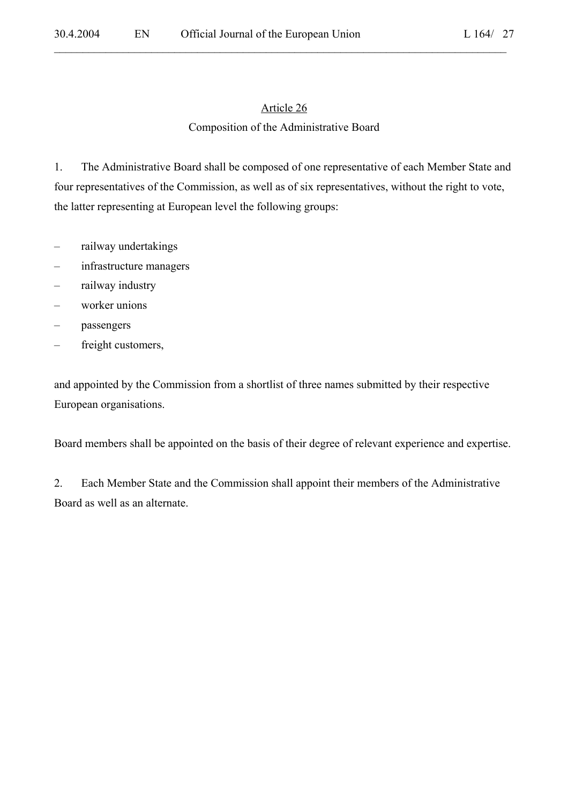$\mathcal{L}_\mathcal{L} = \mathcal{L}_\mathcal{L} = \mathcal{L}_\mathcal{L} = \mathcal{L}_\mathcal{L} = \mathcal{L}_\mathcal{L} = \mathcal{L}_\mathcal{L} = \mathcal{L}_\mathcal{L} = \mathcal{L}_\mathcal{L} = \mathcal{L}_\mathcal{L} = \mathcal{L}_\mathcal{L} = \mathcal{L}_\mathcal{L} = \mathcal{L}_\mathcal{L} = \mathcal{L}_\mathcal{L} = \mathcal{L}_\mathcal{L} = \mathcal{L}_\mathcal{L} = \mathcal{L}_\mathcal{L} = \mathcal{L}_\mathcal{L}$ 

### Composition of the Administrative Board

1. The Administrative Board shall be composed of one representative of each Member State and four representatives of the Commission, as well as of six representatives, without the right to vote, the latter representing at European level the following groups:

- railway undertakings
- infrastructure managers
- railway industry
- worker unions
- passengers
- freight customers,

and appointed by the Commission from a shortlist of three names submitted by their respective European organisations.

Board members shall be appointed on the basis of their degree of relevant experience and expertise.

2. Each Member State and the Commission shall appoint their members of the Administrative Board as well as an alternate.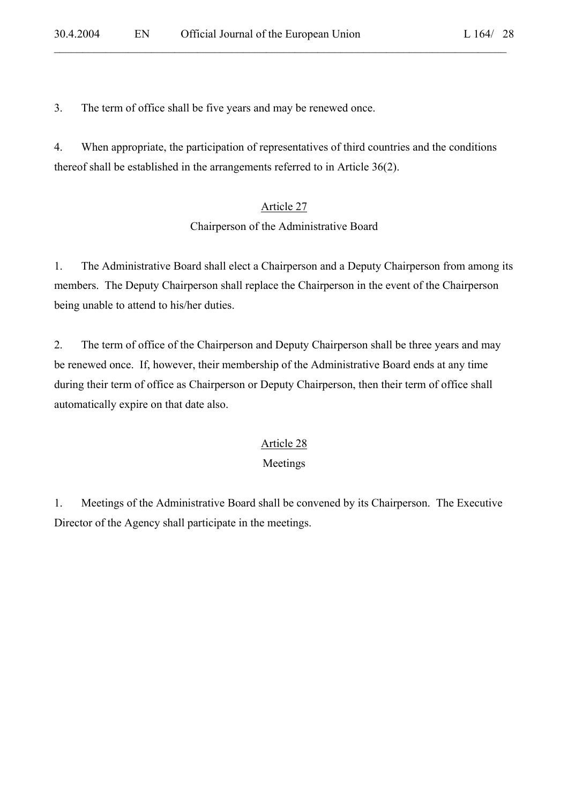3. The term of office shall be five years and may be renewed once.

4. When appropriate, the participation of representatives of third countries and the conditions thereof shall be established in the arrangements referred to in Article 36(2).

 $\mathcal{L}_\mathcal{L} = \mathcal{L}_\mathcal{L} = \mathcal{L}_\mathcal{L} = \mathcal{L}_\mathcal{L} = \mathcal{L}_\mathcal{L} = \mathcal{L}_\mathcal{L} = \mathcal{L}_\mathcal{L} = \mathcal{L}_\mathcal{L} = \mathcal{L}_\mathcal{L} = \mathcal{L}_\mathcal{L} = \mathcal{L}_\mathcal{L} = \mathcal{L}_\mathcal{L} = \mathcal{L}_\mathcal{L} = \mathcal{L}_\mathcal{L} = \mathcal{L}_\mathcal{L} = \mathcal{L}_\mathcal{L} = \mathcal{L}_\mathcal{L}$ 

# Article 27

### Chairperson of the Administrative Board

1. The Administrative Board shall elect a Chairperson and a Deputy Chairperson from among its members. The Deputy Chairperson shall replace the Chairperson in the event of the Chairperson being unable to attend to his/her duties.

2. The term of office of the Chairperson and Deputy Chairperson shall be three years and may be renewed once. If, however, their membership of the Administrative Board ends at any time during their term of office as Chairperson or Deputy Chairperson, then their term of office shall automatically expire on that date also.

# Article 28

# Meetings

1. Meetings of the Administrative Board shall be convened by its Chairperson. The Executive Director of the Agency shall participate in the meetings.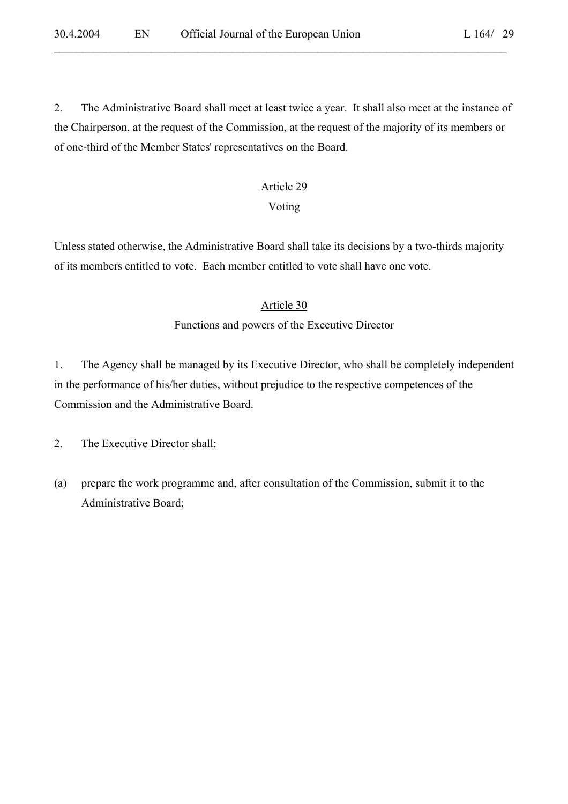$\mathcal{L}_\mathcal{L} = \mathcal{L}_\mathcal{L} = \mathcal{L}_\mathcal{L} = \mathcal{L}_\mathcal{L} = \mathcal{L}_\mathcal{L} = \mathcal{L}_\mathcal{L} = \mathcal{L}_\mathcal{L} = \mathcal{L}_\mathcal{L} = \mathcal{L}_\mathcal{L} = \mathcal{L}_\mathcal{L} = \mathcal{L}_\mathcal{L} = \mathcal{L}_\mathcal{L} = \mathcal{L}_\mathcal{L} = \mathcal{L}_\mathcal{L} = \mathcal{L}_\mathcal{L} = \mathcal{L}_\mathcal{L} = \mathcal{L}_\mathcal{L}$ L  $164/29$ 

2. The Administrative Board shall meet at least twice a year. It shall also meet at the instance of the Chairperson, at the request of the Commission, at the request of the majority of its members or of one-third of the Member States' representatives on the Board.

# Article 29

# Voting

Unless stated otherwise, the Administrative Board shall take its decisions by a two-thirds majority of its members entitled to vote. Each member entitled to vote shall have one vote.

# Article 30

# Functions and powers of the Executive Director

1. The Agency shall be managed by its Executive Director, who shall be completely independent in the performance of his/her duties, without prejudice to the respective competences of the Commission and the Administrative Board.

2. The Executive Director shall:

(a) prepare the work programme and, after consultation of the Commission, submit it to the Administrative Board;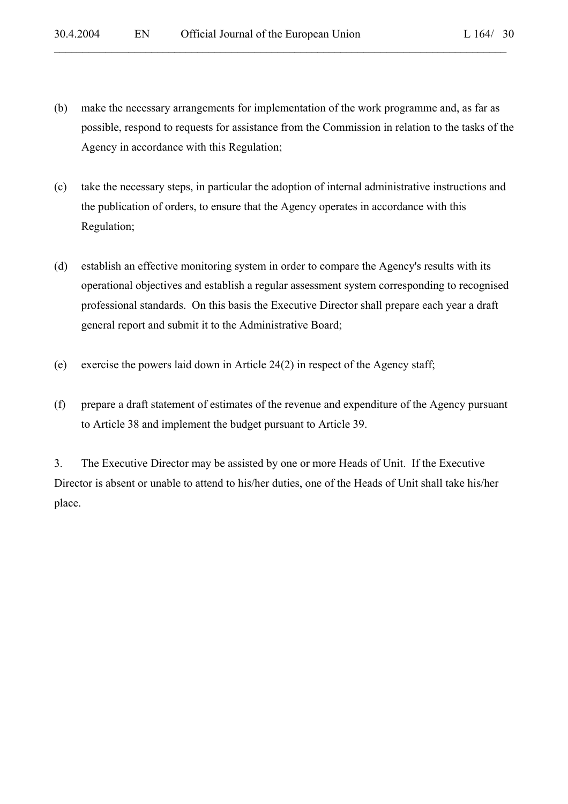(b) make the necessary arrangements for implementation of the work programme and, as far as possible, respond to requests for assistance from the Commission in relation to the tasks of the Agency in accordance with this Regulation;

 $\mathcal{L}_\mathcal{L} = \mathcal{L}_\mathcal{L} = \mathcal{L}_\mathcal{L} = \mathcal{L}_\mathcal{L} = \mathcal{L}_\mathcal{L} = \mathcal{L}_\mathcal{L} = \mathcal{L}_\mathcal{L} = \mathcal{L}_\mathcal{L} = \mathcal{L}_\mathcal{L} = \mathcal{L}_\mathcal{L} = \mathcal{L}_\mathcal{L} = \mathcal{L}_\mathcal{L} = \mathcal{L}_\mathcal{L} = \mathcal{L}_\mathcal{L} = \mathcal{L}_\mathcal{L} = \mathcal{L}_\mathcal{L} = \mathcal{L}_\mathcal{L}$ 

- (c) take the necessary steps, in particular the adoption of internal administrative instructions and the publication of orders, to ensure that the Agency operates in accordance with this Regulation;
- (d) establish an effective monitoring system in order to compare the Agency's results with its operational objectives and establish a regular assessment system corresponding to recognised professional standards. On this basis the Executive Director shall prepare each year a draft general report and submit it to the Administrative Board;
- (e) exercise the powers laid down in Article 24(2) in respect of the Agency staff;
- (f) prepare a draft statement of estimates of the revenue and expenditure of the Agency pursuant to Article 38 and implement the budget pursuant to Article 39.

 3. The Executive Director may be assisted by one or more Heads of Unit. If the Executive Director is absent or unable to attend to his/her duties, one of the Heads of Unit shall take his/her place.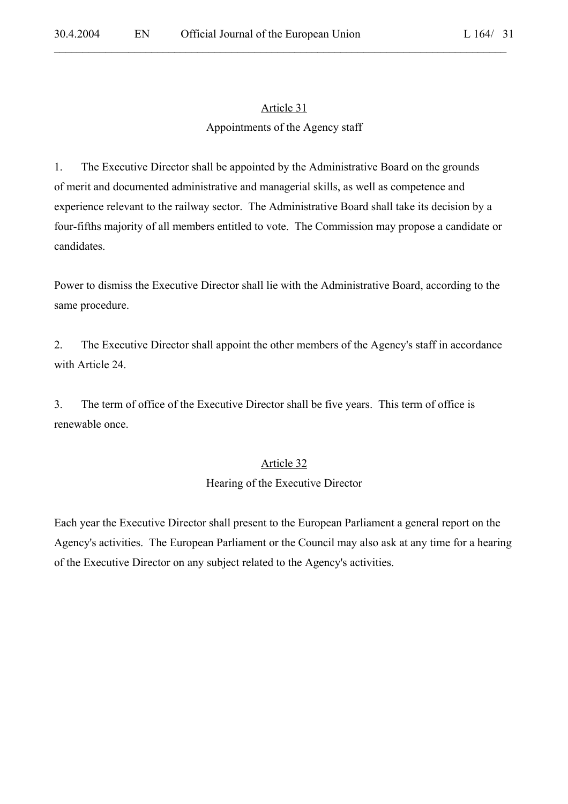# Article 31 Appointments of the Agency staff

 $\mathcal{L}_\mathcal{L} = \mathcal{L}_\mathcal{L} = \mathcal{L}_\mathcal{L} = \mathcal{L}_\mathcal{L} = \mathcal{L}_\mathcal{L} = \mathcal{L}_\mathcal{L} = \mathcal{L}_\mathcal{L} = \mathcal{L}_\mathcal{L} = \mathcal{L}_\mathcal{L} = \mathcal{L}_\mathcal{L} = \mathcal{L}_\mathcal{L} = \mathcal{L}_\mathcal{L} = \mathcal{L}_\mathcal{L} = \mathcal{L}_\mathcal{L} = \mathcal{L}_\mathcal{L} = \mathcal{L}_\mathcal{L} = \mathcal{L}_\mathcal{L}$ 

1. The Executive Director shall be appointed by the Administrative Board on the grounds of merit and documented administrative and managerial skills, as well as competence and experience relevant to the railway sector. The Administrative Board shall take its decision by a four-fifths majority of all members entitled to vote. The Commission may propose a candidate or candidates.

Power to dismiss the Executive Director shall lie with the Administrative Board, according to the same procedure.

2. The Executive Director shall appoint the other members of the Agency's staff in accordance with Article 24.

3. The term of office of the Executive Director shall be five years. This term of office is renewable once.

# Article 32

#### Hearing of the Executive Director

Each year the Executive Director shall present to the European Parliament a general report on the Agency's activities. The European Parliament or the Council may also ask at any time for a hearing of the Executive Director on any subject related to the Agency's activities.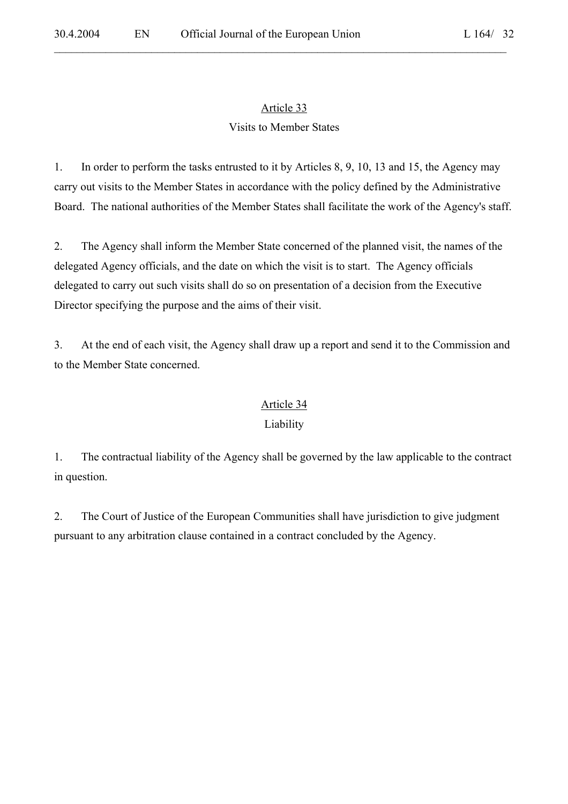$\mathcal{L}_\mathcal{L} = \mathcal{L}_\mathcal{L} = \mathcal{L}_\mathcal{L} = \mathcal{L}_\mathcal{L} = \mathcal{L}_\mathcal{L} = \mathcal{L}_\mathcal{L} = \mathcal{L}_\mathcal{L} = \mathcal{L}_\mathcal{L} = \mathcal{L}_\mathcal{L} = \mathcal{L}_\mathcal{L} = \mathcal{L}_\mathcal{L} = \mathcal{L}_\mathcal{L} = \mathcal{L}_\mathcal{L} = \mathcal{L}_\mathcal{L} = \mathcal{L}_\mathcal{L} = \mathcal{L}_\mathcal{L} = \mathcal{L}_\mathcal{L}$ 

# Visits to Member States

1. In order to perform the tasks entrusted to it by Articles 8, 9, 10, 13 and 15, the Agency may carry out visits to the Member States in accordance with the policy defined by the Administrative Board. The national authorities of the Member States shall facilitate the work of the Agency's staff.

2. The Agency shall inform the Member State concerned of the planned visit, the names of the delegated Agency officials, and the date on which the visit is to start. The Agency officials delegated to carry out such visits shall do so on presentation of a decision from the Executive Director specifying the purpose and the aims of their visit.

3. At the end of each visit, the Agency shall draw up a report and send it to the Commission and to the Member State concerned.

# Article 34

# Liability

1. The contractual liability of the Agency shall be governed by the law applicable to the contract in question.

2. The Court of Justice of the European Communities shall have jurisdiction to give judgment pursuant to any arbitration clause contained in a contract concluded by the Agency.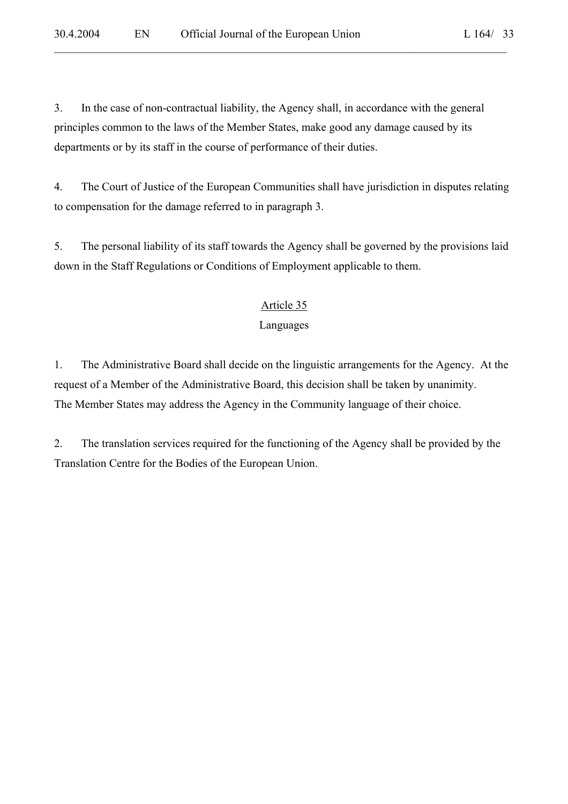3. In the case of non-contractual liability, the Agency shall, in accordance with the general principles common to the laws of the Member States, make good any damage caused by its departments or by its staff in the course of performance of their duties.

4. The Court of Justice of the European Communities shall have jurisdiction in disputes relating to compensation for the damage referred to in paragraph 3.

 $\mathcal{L}_\mathcal{L} = \mathcal{L}_\mathcal{L} = \mathcal{L}_\mathcal{L} = \mathcal{L}_\mathcal{L} = \mathcal{L}_\mathcal{L} = \mathcal{L}_\mathcal{L} = \mathcal{L}_\mathcal{L} = \mathcal{L}_\mathcal{L} = \mathcal{L}_\mathcal{L} = \mathcal{L}_\mathcal{L} = \mathcal{L}_\mathcal{L} = \mathcal{L}_\mathcal{L} = \mathcal{L}_\mathcal{L} = \mathcal{L}_\mathcal{L} = \mathcal{L}_\mathcal{L} = \mathcal{L}_\mathcal{L} = \mathcal{L}_\mathcal{L}$ 

5. The personal liability of its staff towards the Agency shall be governed by the provisions laid down in the Staff Regulations or Conditions of Employment applicable to them.

### Article 35

# Languages

1. The Administrative Board shall decide on the linguistic arrangements for the Agency. At the request of a Member of the Administrative Board, this decision shall be taken by unanimity. The Member States may address the Agency in the Community language of their choice.

2. The translation services required for the functioning of the Agency shall be provided by the Translation Centre for the Bodies of the European Union.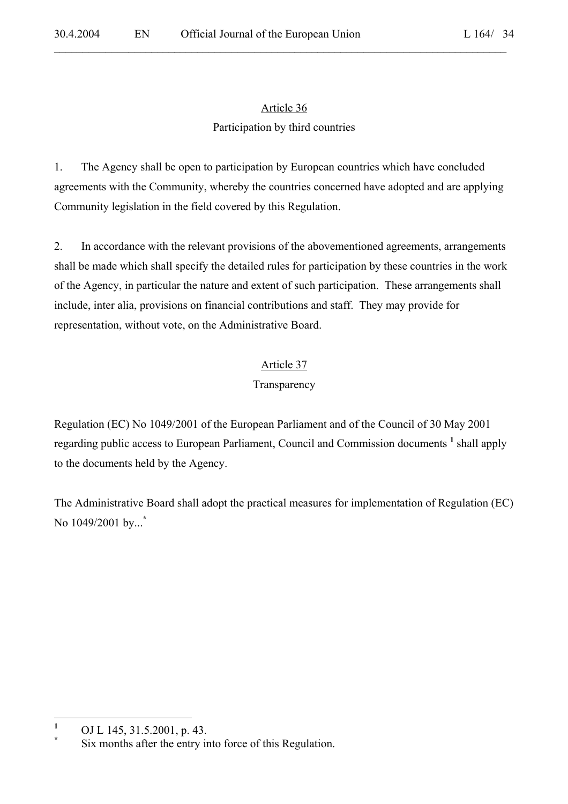# Article 36 Participation by third countries

 $\mathcal{L}_\mathcal{L} = \mathcal{L}_\mathcal{L} = \mathcal{L}_\mathcal{L} = \mathcal{L}_\mathcal{L} = \mathcal{L}_\mathcal{L} = \mathcal{L}_\mathcal{L} = \mathcal{L}_\mathcal{L} = \mathcal{L}_\mathcal{L} = \mathcal{L}_\mathcal{L} = \mathcal{L}_\mathcal{L} = \mathcal{L}_\mathcal{L} = \mathcal{L}_\mathcal{L} = \mathcal{L}_\mathcal{L} = \mathcal{L}_\mathcal{L} = \mathcal{L}_\mathcal{L} = \mathcal{L}_\mathcal{L} = \mathcal{L}_\mathcal{L}$ 

1. The Agency shall be open to participation by European countries which have concluded agreements with the Community, whereby the countries concerned have adopted and are applying Community legislation in the field covered by this Regulation.

2. In accordance with the relevant provisions of the abovementioned agreements, arrangements shall be made which shall specify the detailed rules for participation by these countries in the work of the Agency, in particular the nature and extent of such participation. These arrangements shall include, inter alia, provisions on financial contributions and staff. They may provide for representation, without vote, on the Administrative Board.

# Article 37

# Transparency

Regulation (EC) No 1049/2001 of the European Parliament and of the Council of 30 May 2001 regarding public access to European Parliament, Council and Commission documents <sup>1</sup> shall apply to the documents held by the Agency.

The Administrative Board shall adopt the practical measures for implementation of Regulation (EC) No 1049/2001 by...**\***

 **1** OJ L 145, 31.5.2001, p. 43.

**<sup>\*</sup>** Six months after the entry into force of this Regulation.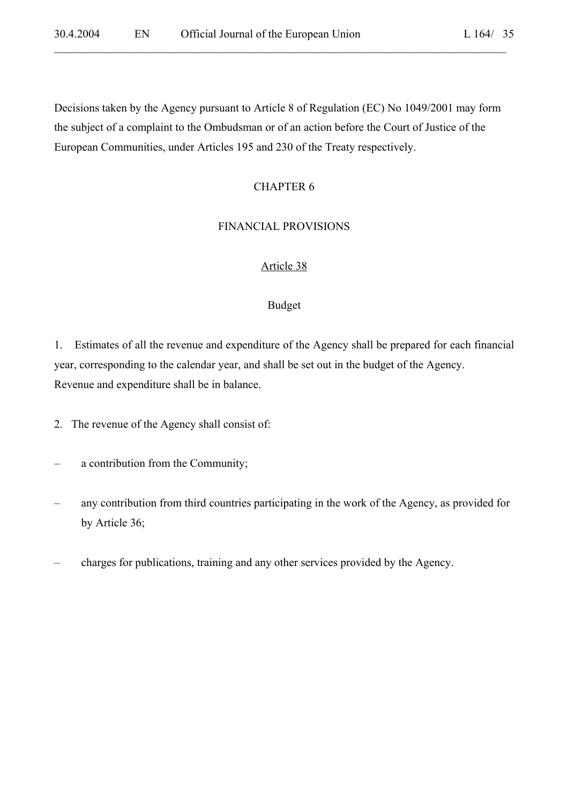L  $164/35$ 

Decisions taken by the Agency pursuant to Article 8 of Regulation (EC) No 1049/2001 may form the subject of a complaint to the Ombudsman or of an action before the Court of Justice of the European Communities, under Articles 195 and 230 of the Treaty respectively.

 $\mathcal{L}_\mathcal{L} = \mathcal{L}_\mathcal{L} = \mathcal{L}_\mathcal{L} = \mathcal{L}_\mathcal{L} = \mathcal{L}_\mathcal{L} = \mathcal{L}_\mathcal{L} = \mathcal{L}_\mathcal{L} = \mathcal{L}_\mathcal{L} = \mathcal{L}_\mathcal{L} = \mathcal{L}_\mathcal{L} = \mathcal{L}_\mathcal{L} = \mathcal{L}_\mathcal{L} = \mathcal{L}_\mathcal{L} = \mathcal{L}_\mathcal{L} = \mathcal{L}_\mathcal{L} = \mathcal{L}_\mathcal{L} = \mathcal{L}_\mathcal{L}$ 

# CHAPTER 6

### FINANCIAL PROVISIONS

# Article 38

#### Budget

1.Estimates of all the revenue and expenditure of the Agency shall be prepared for each financial year, corresponding to the calendar year, and shall be set out in the budget of the Agency. Revenue and expenditure shall be in balance.

- 2. The revenue of the Agency shall consist of:
- a contribution from the Community;
- any contribution from third countries participating in the work of the Agency, as provided for by Article 36;
- charges for publications, training and any other services provided by the Agency.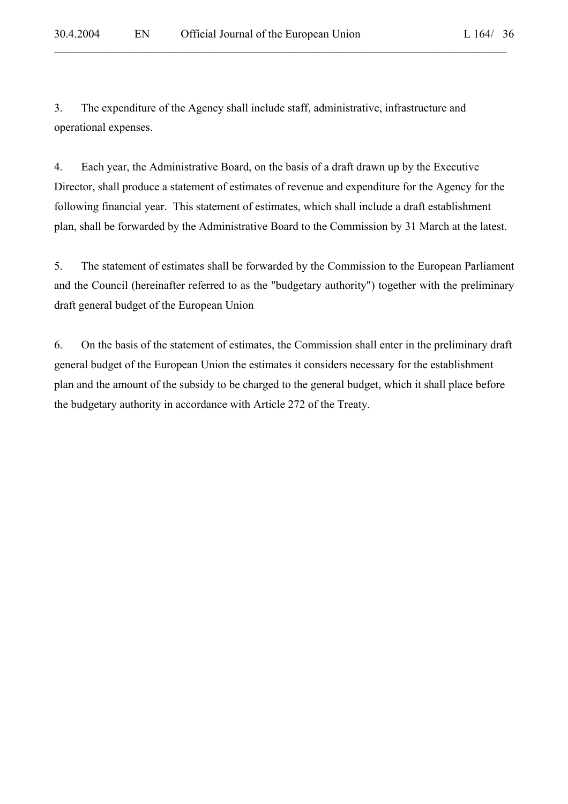3. The expenditure of the Agency shall include staff, administrative, infrastructure and operational expenses.

4. Each year, the Administrative Board, on the basis of a draft drawn up by the Executive Director, shall produce a statement of estimates of revenue and expenditure for the Agency for the following financial year. This statement of estimates, which shall include a draft establishment plan, shall be forwarded by the Administrative Board to the Commission by 31 March at the latest.

 $\mathcal{L}_\mathcal{L} = \mathcal{L}_\mathcal{L} = \mathcal{L}_\mathcal{L} = \mathcal{L}_\mathcal{L} = \mathcal{L}_\mathcal{L} = \mathcal{L}_\mathcal{L} = \mathcal{L}_\mathcal{L} = \mathcal{L}_\mathcal{L} = \mathcal{L}_\mathcal{L} = \mathcal{L}_\mathcal{L} = \mathcal{L}_\mathcal{L} = \mathcal{L}_\mathcal{L} = \mathcal{L}_\mathcal{L} = \mathcal{L}_\mathcal{L} = \mathcal{L}_\mathcal{L} = \mathcal{L}_\mathcal{L} = \mathcal{L}_\mathcal{L}$ 

5. The statement of estimates shall be forwarded by the Commission to the European Parliament and the Council (hereinafter referred to as the "budgetary authority") together with the preliminary draft general budget of the European Union

6. On the basis of the statement of estimates, the Commission shall enter in the preliminary draft general budget of the European Union the estimates it considers necessary for the establishment plan and the amount of the subsidy to be charged to the general budget, which it shall place before the budgetary authority in accordance with Article 272 of the Treaty.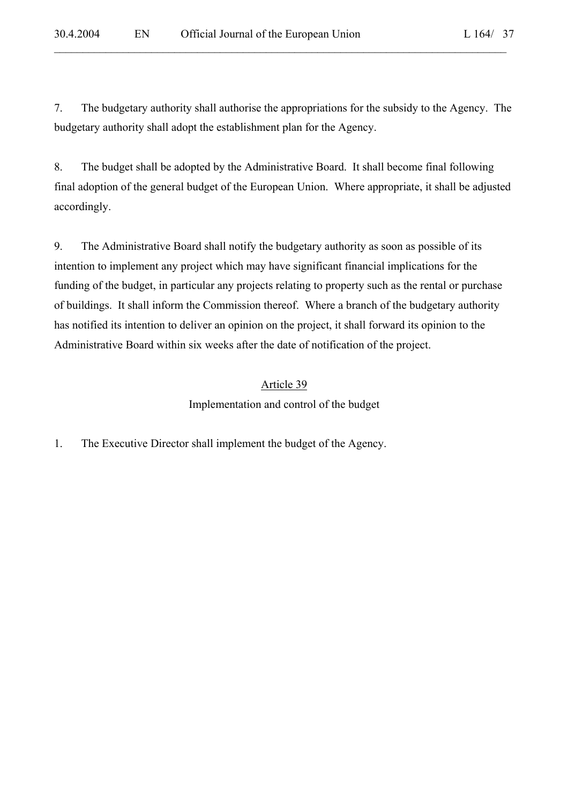7. The budgetary authority shall authorise the appropriations for the subsidy to the Agency. The budgetary authority shall adopt the establishment plan for the Agency.

 $\mathcal{L}_\mathcal{L} = \mathcal{L}_\mathcal{L} = \mathcal{L}_\mathcal{L} = \mathcal{L}_\mathcal{L} = \mathcal{L}_\mathcal{L} = \mathcal{L}_\mathcal{L} = \mathcal{L}_\mathcal{L} = \mathcal{L}_\mathcal{L} = \mathcal{L}_\mathcal{L} = \mathcal{L}_\mathcal{L} = \mathcal{L}_\mathcal{L} = \mathcal{L}_\mathcal{L} = \mathcal{L}_\mathcal{L} = \mathcal{L}_\mathcal{L} = \mathcal{L}_\mathcal{L} = \mathcal{L}_\mathcal{L} = \mathcal{L}_\mathcal{L}$ 

8. The budget shall be adopted by the Administrative Board. It shall become final following final adoption of the general budget of the European Union. Where appropriate, it shall be adjusted accordingly.

9. The Administrative Board shall notify the budgetary authority as soon as possible of its intention to implement any project which may have significant financial implications for the funding of the budget, in particular any projects relating to property such as the rental or purchase of buildings. It shall inform the Commission thereof. Where a branch of the budgetary authority has notified its intention to deliver an opinion on the project, it shall forward its opinion to the Administrative Board within six weeks after the date of notification of the project.

# Article 39

Implementation and control of the budget

1. The Executive Director shall implement the budget of the Agency.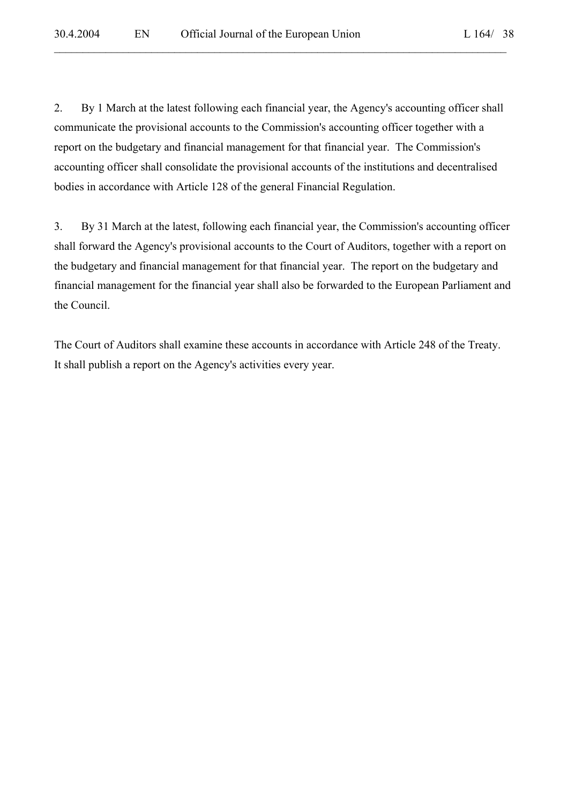2. By 1 March at the latest following each financial year, the Agency's accounting officer shall communicate the provisional accounts to the Commission's accounting officer together with a report on the budgetary and financial management for that financial year. The Commission's accounting officer shall consolidate the provisional accounts of the institutions and decentralised bodies in accordance with Article 128 of the general Financial Regulation.

3. By 31 March at the latest, following each financial year, the Commission's accounting officer shall forward the Agency's provisional accounts to the Court of Auditors, together with a report on the budgetary and financial management for that financial year. The report on the budgetary and financial management for the financial year shall also be forwarded to the European Parliament and the Council.

The Court of Auditors shall examine these accounts in accordance with Article 248 of the Treaty. It shall publish a report on the Agency's activities every year.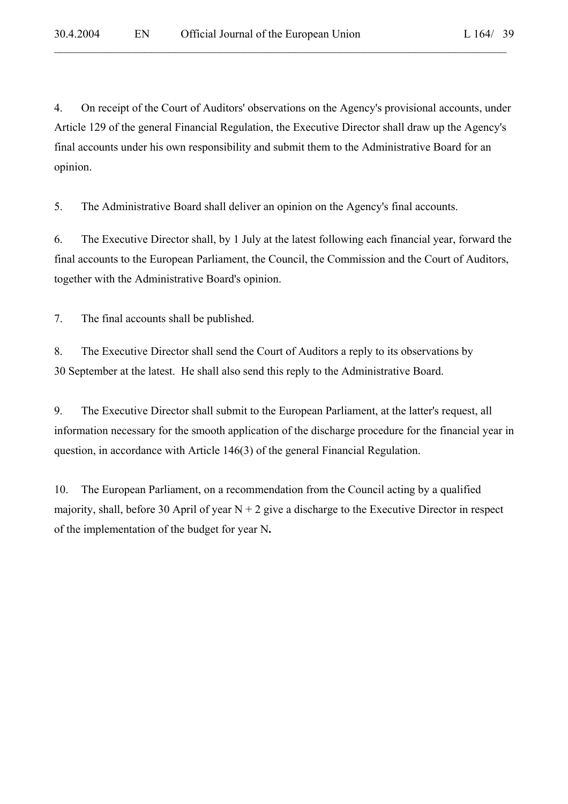4. On receipt of the Court of Auditors' observations on the Agency's provisional accounts, under Article 129 of the general Financial Regulation, the Executive Director shall draw up the Agency's final accounts under his own responsibility and submit them to the Administrative Board for an opinion.

 $\mathcal{L}_\mathcal{L} = \mathcal{L}_\mathcal{L} = \mathcal{L}_\mathcal{L} = \mathcal{L}_\mathcal{L} = \mathcal{L}_\mathcal{L} = \mathcal{L}_\mathcal{L} = \mathcal{L}_\mathcal{L} = \mathcal{L}_\mathcal{L} = \mathcal{L}_\mathcal{L} = \mathcal{L}_\mathcal{L} = \mathcal{L}_\mathcal{L} = \mathcal{L}_\mathcal{L} = \mathcal{L}_\mathcal{L} = \mathcal{L}_\mathcal{L} = \mathcal{L}_\mathcal{L} = \mathcal{L}_\mathcal{L} = \mathcal{L}_\mathcal{L}$ 

5. The Administrative Board shall deliver an opinion on the Agency's final accounts.

6. The Executive Director shall, by 1 July at the latest following each financial year, forward the final accounts to the European Parliament, the Council, the Commission and the Court of Auditors, together with the Administrative Board's opinion.

7. The final accounts shall be published.

8. The Executive Director shall send the Court of Auditors a reply to its observations by 30 September at the latest. He shall also send this reply to the Administrative Board.

9. The Executive Director shall submit to the European Parliament, at the latter's request, all information necessary for the smooth application of the discharge procedure for the financial year in question, in accordance with Article 146(3) of the general Financial Regulation.

10. The European Parliament, on a recommendation from the Council acting by a qualified majority, shall, before 30 April of year  $N + 2$  give a discharge to the Executive Director in respect of the implementation of the budget for year N**.**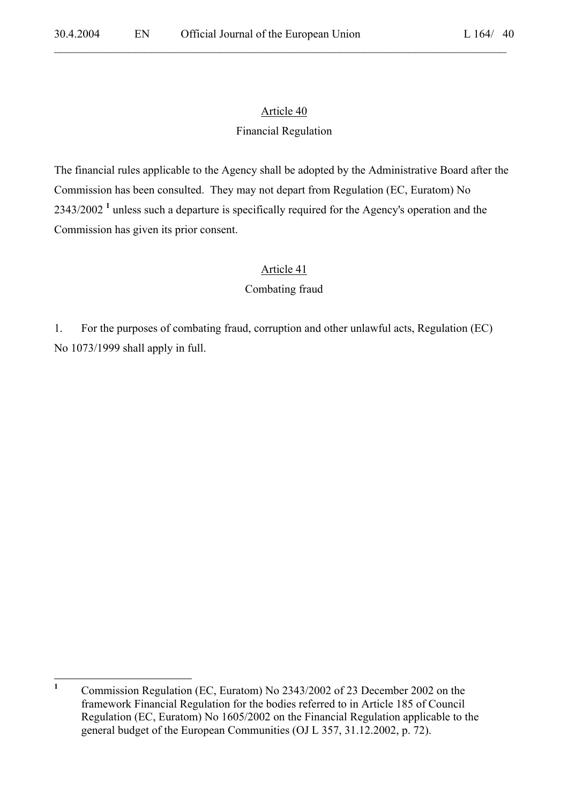$\mathcal{L}_\mathcal{L} = \mathcal{L}_\mathcal{L} = \mathcal{L}_\mathcal{L} = \mathcal{L}_\mathcal{L} = \mathcal{L}_\mathcal{L} = \mathcal{L}_\mathcal{L} = \mathcal{L}_\mathcal{L} = \mathcal{L}_\mathcal{L} = \mathcal{L}_\mathcal{L} = \mathcal{L}_\mathcal{L} = \mathcal{L}_\mathcal{L} = \mathcal{L}_\mathcal{L} = \mathcal{L}_\mathcal{L} = \mathcal{L}_\mathcal{L} = \mathcal{L}_\mathcal{L} = \mathcal{L}_\mathcal{L} = \mathcal{L}_\mathcal{L}$ 

# Article 40

# Financial Regulation

The financial rules applicable to the Agency shall be adopted by the Administrative Board after the Commission has been consulted. They may not depart from Regulation (EC, Euratom) No 2343/2002<sup>1</sup> unless such a departure is specifically required for the Agency's operation and the Commission has given its prior consent.

# Article 41

# Combating fraud

1. For the purposes of combating fraud, corruption and other unlawful acts, Regulation (EC) No 1073/1999 shall apply in full.

 **1** Commission Regulation (EC, Euratom) No 2343/2002 of 23 December 2002 on the framework Financial Regulation for the bodies referred to in Article 185 of Council Regulation (EC, Euratom) No 1605/2002 on the Financial Regulation applicable to the general budget of the European Communities (OJ L 357, 31.12.2002, p. 72).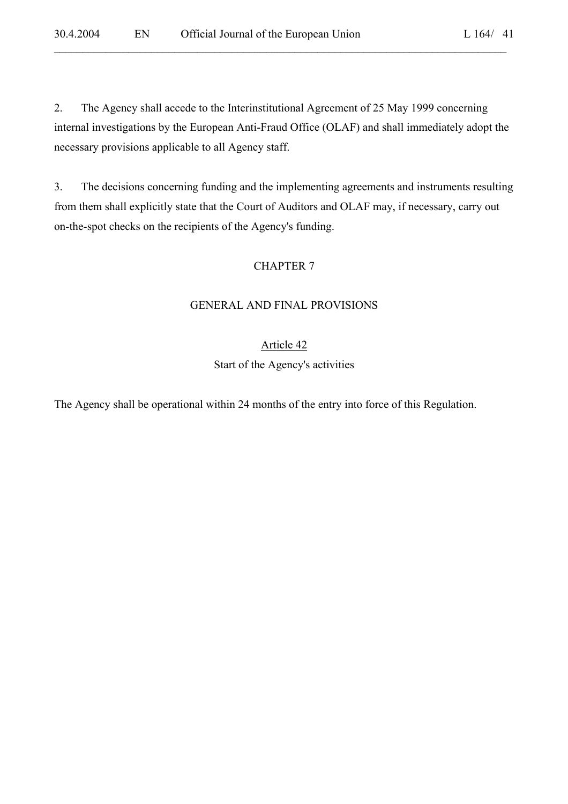2. The Agency shall accede to the Interinstitutional Agreement of 25 May 1999 concerning internal investigations by the European Anti-Fraud Office (OLAF) and shall immediately adopt the necessary provisions applicable to all Agency staff.

 $\mathcal{L}_\mathcal{L} = \mathcal{L}_\mathcal{L} = \mathcal{L}_\mathcal{L} = \mathcal{L}_\mathcal{L} = \mathcal{L}_\mathcal{L} = \mathcal{L}_\mathcal{L} = \mathcal{L}_\mathcal{L} = \mathcal{L}_\mathcal{L} = \mathcal{L}_\mathcal{L} = \mathcal{L}_\mathcal{L} = \mathcal{L}_\mathcal{L} = \mathcal{L}_\mathcal{L} = \mathcal{L}_\mathcal{L} = \mathcal{L}_\mathcal{L} = \mathcal{L}_\mathcal{L} = \mathcal{L}_\mathcal{L} = \mathcal{L}_\mathcal{L}$ 

3. The decisions concerning funding and the implementing agreements and instruments resulting from them shall explicitly state that the Court of Auditors and OLAF may, if necessary, carry out on-the-spot checks on the recipients of the Agency's funding.

### CHAPTER 7

#### GENERAL AND FINAL PROVISIONS

#### Article 42

Start of the Agency's activities

The Agency shall be operational within 24 months of the entry into force of this Regulation.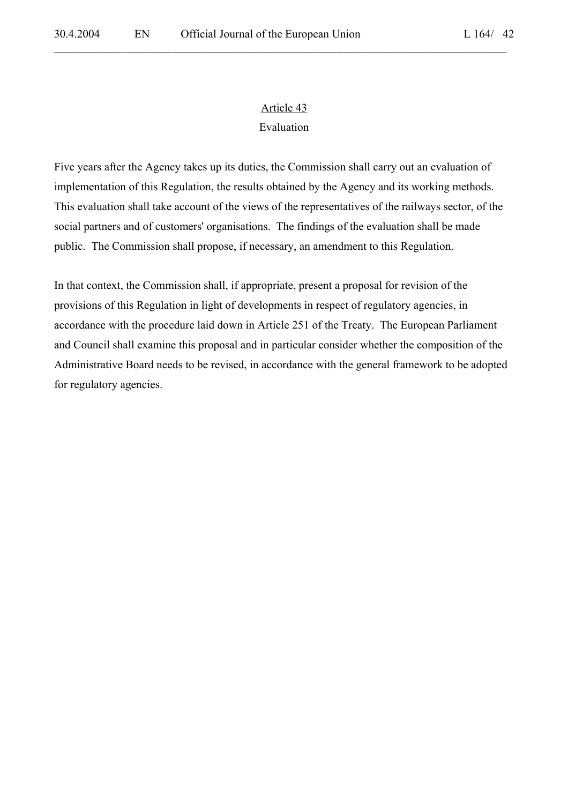$\mathcal{L}_\mathcal{L} = \mathcal{L}_\mathcal{L} = \mathcal{L}_\mathcal{L} = \mathcal{L}_\mathcal{L} = \mathcal{L}_\mathcal{L} = \mathcal{L}_\mathcal{L} = \mathcal{L}_\mathcal{L} = \mathcal{L}_\mathcal{L} = \mathcal{L}_\mathcal{L} = \mathcal{L}_\mathcal{L} = \mathcal{L}_\mathcal{L} = \mathcal{L}_\mathcal{L} = \mathcal{L}_\mathcal{L} = \mathcal{L}_\mathcal{L} = \mathcal{L}_\mathcal{L} = \mathcal{L}_\mathcal{L} = \mathcal{L}_\mathcal{L}$ 

# Article 43 Evaluation

Five years after the Agency takes up its duties, the Commission shall carry out an evaluation of implementation of this Regulation, the results obtained by the Agency and its working methods. This evaluation shall take account of the views of the representatives of the railways sector, of the social partners and of customers' organisations. The findings of the evaluation shall be made public. The Commission shall propose, if necessary, an amendment to this Regulation.

In that context, the Commission shall, if appropriate, present a proposal for revision of the provisions of this Regulation in light of developments in respect of regulatory agencies, in accordance with the procedure laid down in Article 251 of the Treaty. The European Parliament and Council shall examine this proposal and in particular consider whether the composition of the Administrative Board needs to be revised, in accordance with the general framework to be adopted for regulatory agencies.